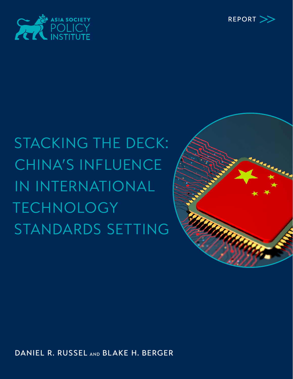



# STACKING THE DECK: CHINA'S INFLUENCE IN INTERNATIONAL **TECHNOLOGY** STANDARDS SETTING



DANIEL R. RUSSEL AND BLAKE H. BERGER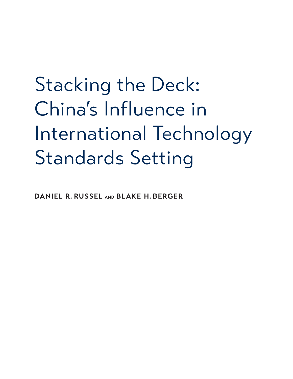# Stacking the Deck: China's Influence in International Technology Standards Setting

**DANIEL R. RUSSEL AND BLAKE H. BERGER**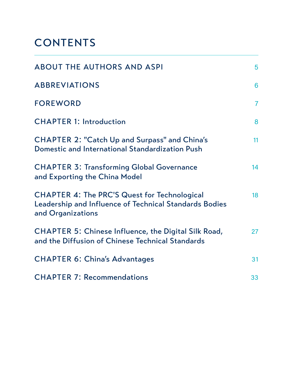# **CONTENTS**

| <b>ABOUT THE AUTHORS AND ASPI</b>                                                                                                  | 5              |
|------------------------------------------------------------------------------------------------------------------------------------|----------------|
| <b>ABBREVIATIONS</b>                                                                                                               | 6              |
| <b>FOREWORD</b>                                                                                                                    | $\overline{7}$ |
| <b>CHAPTER 1: Introduction</b>                                                                                                     | 8              |
| <b>CHAPTER 2: "Catch Up and Surpass" and China's</b><br>Domestic and International Standardization Push                            | 11             |
| <b>CHAPTER 3: Transforming Global Governance</b><br>and Exporting the China Model                                                  | 14             |
| <b>CHAPTER 4: The PRC'S Quest for Technological</b><br>Leadership and Influence of Technical Standards Bodies<br>and Organizations | 18             |
| <b>CHAPTER 5: Chinese Influence, the Digital Silk Road,</b><br>and the Diffusion of Chinese Technical Standards                    | 27             |
| <b>CHAPTER 6: China's Advantages</b>                                                                                               | 31             |
| <b>CHAPTER 7: Recommendations</b>                                                                                                  | 33             |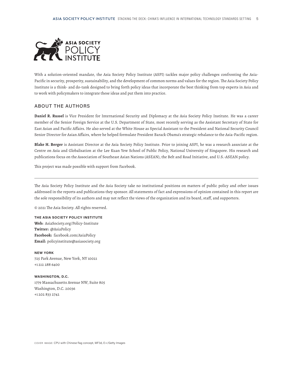

With a solution-oriented mandate, the Asia Society Policy Institute (ASPI) tackles major policy challenges confronting the Asia-Pacific in security, prosperity, sustainability, and the development of common norms and values for the region. The Asia Society Policy Institute is a think- and do-tank designed to bring forth policy ideas that incorporate the best thinking from top experts in Asia and to work with policymakers to integrate these ideas and put them into practice.

#### ABOUT THE AUTHORS

**Daniel R. Russel** is Vice President for International Security and Diplomacy at the Asia Society Policy Institute. He was a career member of the Senior Foreign Service at the U.S. Department of State, most recently serving as the Assistant Secretary of State for East Asian and Pacific Affairs. He also served at the White House as Special Assistant to the President and National Security Council Senior Director for Asian Affairs, where he helped formulate President Barack Obama's strategic rebalance to the Asia-Pacific region.

**Blake H. Berger** is Assistant Director at the Asia Society Policy Institute. Prior to joining ASPI, he was a research associate at the Centre on Asia and Globalisation at the Lee Kuan Yew School of Public Policy, National University of Singapore. His research and publications focus on the Association of Southeast Asian Nations (ASEAN), the Belt and Road Initiative, and U.S.-ASEAN policy.

This project was made possible with support from Facebook.

The Asia Society Policy Institute and the Asia Society take no institutional positions on matters of public policy and other issues addressed in the reports and publications they sponsor. All statements of fact and expressions of opinion contained in this report are the sole responsibility of its authors and may not reflect the views of the organization and its board, staff, and supporters.

© 2021 The Asia Society. All rights reserved.

**THE ASIA SOCIETY POLICY INSTITUTE Web:** AsiaSociety.org/Policy-Institute **Twitter:** @AsiaPolicy **Facebook:** facebook.com/AsiaPolicy **Email:** policyinstitute@asiasociety.org

**NEW YORK** 725 Park Avenue, New York, NY 10021 +1 212 288 6400

**WASHINGTON, D.C.** 1779 Massachusetts Avenue NW, Suite 805 Washington, D.C. 20036 +1 202 833 2742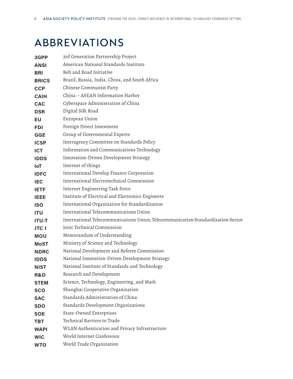# <span id="page-4-0"></span>ABBREVIATIONS

| 3GPP             | 3rd Generation Partnership Project                                               |
|------------------|----------------------------------------------------------------------------------|
| <b>ANSI</b>      | American National Standards Institute                                            |
| <b>BRI</b>       | Belt and Road Initiative                                                         |
| <b>BRICS</b>     | Brazil, Russia, India, China, and South Africa                                   |
| <b>CCP</b>       | Chinese Communist Party                                                          |
| <b>CAIH</b>      | China - ASEAN Information Harbor                                                 |
| <b>CAC</b>       | Cyberspace Administration of China                                               |
| <b>DSR</b>       | Digital Silk Road                                                                |
| EU               | European Union                                                                   |
| <b>FDI</b>       | Foreign Direct Investment                                                        |
| <b>GGE</b>       | Group of Governmental Experts                                                    |
| <b>ICSP</b>      | Interagency Committee on Standards Policy                                        |
| <b>ICT</b>       | Information and Communications Technology                                        |
| <b>IDDS</b>      | Innovation-Driven Development Strategy                                           |
| loT              | Internet of things                                                               |
| <b>IDFC</b>      | International Develop Finance Corporation                                        |
| <b>IEC</b>       | International Electrotechnical Commission                                        |
| <b>IETF</b>      | Internet Engineering Task Force                                                  |
| <b>IEEE</b>      | Institute of Electrical and Electronics Engineers                                |
| <b>ISO</b>       | International Organization for Standardization                                   |
| <b>ITU</b>       | International Telecommunications Union                                           |
| <b>ITU-T</b>     | International Telecommunications Union, Telecommunication Standardization Sector |
| JTC <sub>1</sub> | Joint Technical Commission                                                       |
| <b>MOU</b>       | Memorandum of Understanding                                                      |
| <b>MoST</b>      | Ministry of Science and Technology                                               |
| <b>NDRC</b>      | National Development and Reform Commission                                       |
| <b>IDDS</b>      | National Innovation-Driven Development Strategy                                  |
| NIST             | National Institute of Standards and Technology                                   |
| R&D              | Research and Development                                                         |
| <b>STEM</b>      | Science, Technology, Engineering, and Math                                       |
| <b>SCO</b>       | Shanghai Cooperative Organization                                                |
| <b>SAC</b>       | Standards Administration of China                                                |
| <b>SDO</b>       | Standards Development Organizations                                              |
| <b>SOE</b>       | State-Owned Enterprises                                                          |
| <b>TBT</b>       | Technical Barriers to Trade                                                      |
| <b>WAPI</b>      | WLAN Authentication and Privacy Infrastructure                                   |
| <b>WIC</b>       | World Internet Conference                                                        |
| <b>WTO</b>       | World Trade Organization                                                         |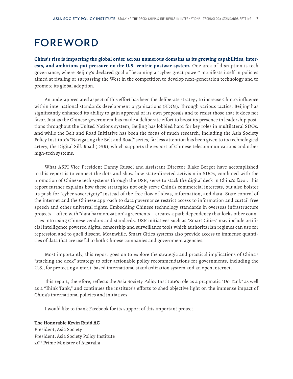# <span id="page-5-0"></span>FOREWORD

**China's rise is impacting the global order across numerous domains as its growing capabilities, interests, and ambitions put pressure on the U.S.-centric postwar system.** One area of disruption is tech governance, where Beijing's declared goal of becoming a "cyber great power" manifests itself in policies aimed at rivaling or surpassing the West in the competition to develop next-generation technology and to promote its global adoption.

An underappreciated aspect of this effort has been the deliberate strategy to increase China's influence within international standards development organizations (SDOs). Through various tactics, Beijing has significantly enhanced its ability to gain approval of its own proposals and to resist those that it does not favor. Just as the Chinese government has made a deliberate effort to boost its presence in leadership positions throughout the United Nations system, Beijing has lobbied hard for key roles in multilateral SDOs. And while the Belt and Road Initiative has been the focus of much research, including the Asia Society Policy Institute's "Navigating the Belt and Road" series, far less attention has been given to its technological artery, the Digital Silk Road (DSR), which supports the export of Chinese telecommunications and other high-tech systems.

What ASPI Vice President Danny Russel and Assistant Director Blake Berger have accomplished in this report is to connect the dots and show how state-directed activism in SDOs, combined with the promotion of Chinese tech systems through the DSR, serve to stack the digital deck in China's favor. This report further explains how these strategies not only serve China's commercial interests, but also bolster its push for "cyber sovereignty" instead of the free flow of ideas, information, and data. State control of the internet and the Chinese approach to data governance restrict access to information and curtail free speech and other universal rights. Embedding Chinese technology standards in overseas infrastructure projects – often with "data harmonization" agreements – creates a path dependency that locks other countries into using Chinese vendors and standards. DSR initiatives such as "Smart Cities" may include artificial intelligence powered digital censorship and surveillance tools which authoritarian regimes can use for repression and to quell dissent. Meanwhile, Smart Cities systems also provide access to immense quantities of data that are useful to both Chinese companies and government agencies.

Most importantly, this report goes on to explore the strategic and practical implications of China's "stacking the deck" strategy to offer actionable policy recommendations for governments, including the U.S., for protecting a merit-based international standardization system and an open internet.

This report, therefore, reflects the Asia Society Policy Institute's role as a pragmatic "Do Tank" as well as a "Think Tank," and continues the institute's efforts to shed objective light on the immense impact of China's international policies and initiatives.

I would like to thank Facebook for its support of this important project.

#### **The Honorable Kevin Rudd AC**

President, Asia Society President, Asia Society Policy Institute 26th Prime Minister of Australia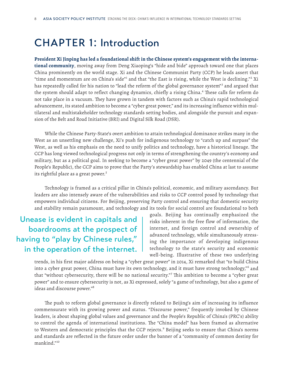### CHAPTER 1: Introduction

**President Xi Jinping has led a foundational shift in the Chinese system's engagement with the international community**, moving away from Deng Xiaoping's "hide and bide" approach toward one that places China prominently on the world stage. Xi and the Chinese Communist Party (CCP) he leads assert that "time and momentum are on China's side"<sup>1</sup> and that "the East is rising, while the West is declining."<sup>2</sup> Xi has repeatedly called for his nation to "lead the reform of the global governance system"<sup>3</sup> and argued that the system should adapt to reflect changing dynamics, chiefly a rising China.<sup>4</sup> These calls for reform do not take place in a vacuum. They have grown in tandem with factors such as China's rapid technological advancement, its stated ambition to become a "cyber great power," and its increasing influence within multilateral and multistakeholder technology standards setting bodies, and alongside the pursuit and expansion of the Belt and Road Initiative (BRI) and Digital Silk Road (DSR).

While the Chinese Party-State's overt ambition to attain technological dominance strikes many in the West as an unsettling new challenge, Xi's push for indigenous technology to "catch up and surpass" the West, as well as his emphasis on the need to unify politics and technology, have a historical lineage. The CCP has long viewed technological progress not only in terms of strengthening the country's economy and military, but as a political goal. In seeking to become a "cyber great power" by 2049 (the centennial of the People's Republic), the CCP aims to prove that the Party's stewardship has enabled China at last to assume its rightful place as a great power.<sup>5</sup>

Technology is framed as a critical pillar in China's political, economic, and military ascendancy. But leaders are also intensely aware of the vulnerabilities and risks to CCP control posed by technology that empowers individual citizens. For Beijing, preserving Party control and ensuring that domestic security and stability remain paramount, and technology and its tools for social control are foundational to both

#### Unease is evident in capitals and boardrooms at the prospect of having to "play by Chinese rules," in the operation of the internet.

goals. Beijing has continually emphasized the risks inherent in the free flow of information, the internet, and foreign control and ownership of advanced technology, while simultaneously stressing the importance of developing indigenous technology to the state's security and economic well-being. Illustrative of these two underlying

trends, in his first major address on being a "cyber great power" in 2014, Xi remarked that "to build China into a cyber great power, China must have its own technology, and it must have strong technology,"<sup>6</sup> and that "without cybersecurity, there will be no national security."<sup>7</sup> This ambition to become a "cyber great power" and to ensure cybersecurity is not, as Xi expressed, solely "a game of technology, but also a game of ideas and discourse power."<sup>8</sup>

The push to reform global governance is directly related to Beijing's aim of increasing its influence commensurate with its growing power and status. "Discourse power," frequently invoked by Chinese leaders, is about shaping global values and governance and the People's Republic of China's (PRC's) ability to control the agenda of international institutions. The "China model" has been framed as alternative to Western and democratic principles that the CCP rejects.<sup>9</sup> Beijing seeks to ensure that China's norms and standards are reflected in the future order under the banner of a "community of common destiny for mankind<sup>"10</sup>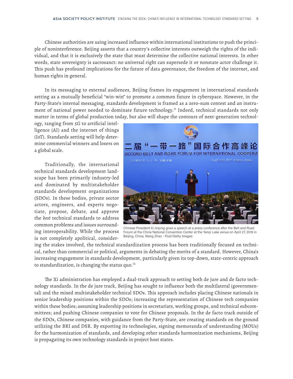Chinese authorities are using increased influence within international institutions to push the principle of noninterference. Beijing asserts that a country's collective interests outweigh the rights of the individual, and that it is exclusively the state that must determine the collective national interests. In other words, state sovereignty is sacrosanct: no universal right can supersede it or nonstate actor challenge it. This push has profound implications for the future of data governance, the freedom of the internet, and human rights in general.

In its messaging to external audiences, Beijing frames its engagement in international standards setting as a mutually beneficial "win-win" to promote a common future in cyberspace. However, in the Party-State's internal messaging, standards development is framed as a zero-sum contest and an instrument of national power needed to dominate future technology.<sup>11</sup> Indeed, technical standards not only matter in terms of global production today, but also will shape the contours of next-generation technol-

ogy, ranging from 5G to artificial intelligence (AI) and the internet of things (IoT). Standards setting will help determine commercial winners and losers on a global scale.

Traditionally, the international technical standards development landscape has been primarily industry-led and dominated by multistakeholder standards development organizations (SDOs). In these bodies, private sector actors, engineers, and experts negotiate, propose, debate, and approve the *best* technical standards to address common problems and issues surrounding interoperability. While the process is not completely apolitical, consider-



Chinese President Xi Jinping gives a speech at a press conference after the Belt and Road Forum at the China National Convention Center at the Yanqi Lake venue on April 27, 2019 in Beijing, China, Wang Zhao - Pool/Getty Images

ing the stakes involved, the technical standardization process has been traditionally focused on technical, rather than commercial or political, arguments in debating the merits of a standard. However, China's increasing engagement in standards development, particularly given its top-down, state-centric approach to standardization, is changing the status quo. $12$ 

The Xi administration has employed a dual-track approach to setting both de jure and de facto technology standards. In the de jure track, Beijing has sought to influence both the multilateral (governmental) and the mixed multistakeholder technical SDOs. This approach includes placing Chinese nationals in senior leadership positions within the SDOs; increasing the representation of Chinese tech companies within these bodies; assuming leadership positions in secretariats, working groups, and technical subcommittees; and pushing Chinese companies to vote for Chinese proposals. In the de facto track outside of the SDOs, Chinese companies, with guidance from the Party-State, are creating standards on the ground utilizing the BRI and DSR. By exporting its technologies, signing memoranda of understanding (MOUs) for the harmonization of standards, and developing other standards harmonization mechanisms, Beijing is propagating its own technology standards in project host states.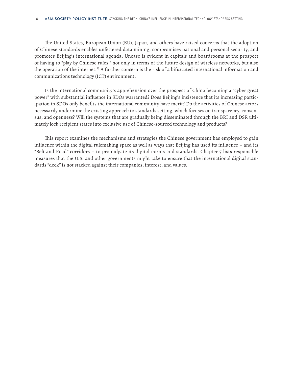The United States, European Union (EU), Japan, and others have raised concerns that the adoption of Chinese standards enables unfettered data mining, compromises national and personal security, and promotes Beijing's international agenda. Unease is evident in capitals and boardrooms at the prospect of having to "play by Chinese rules," not only in terms of the future design of wireless networks, but also the operation of the internet.<sup>13</sup> A further concern is the risk of a bifurcated international information and communications technology (ICT) environment.

Is the international community's apprehension over the prospect of China becoming a "cyber great power" with substantial influence in SDOs warranted? Does Beijing's insistence that its increasing participation in SDOs only benefits the international community have merit? Do the activities of Chinese actors necessarily undermine the existing approach to standards setting, which focuses on transparency, consensus, and openness? Will the systems that are gradually being disseminated through the BRI and DSR ultimately lock recipient states into exclusive use of Chinese-sourced technology and products?

This report examines the mechanisms and strategies the Chinese government has employed to gain influence within the digital rulemaking space as well as ways that Beijing has used its influence – and its "Belt and Road" corridors – to promulgate its digital norms and standards. Chapter 7 lists responsible measures that the U.S. and other governments might take to ensure that the international digital standards "deck" is not stacked against their companies, interest, and values.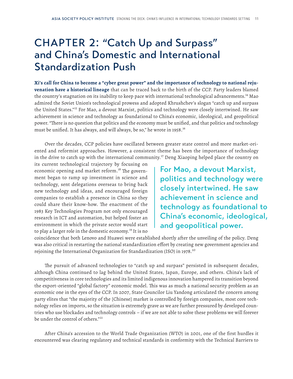### CHAPTER 2: "Catch Up and Surpass" and China's Domestic and International Standardization Push

**Xi's call for China to become a "cyber great power" and the importance of technology to national rejuvenation have a historical lineage** that can be traced back to the birth of the CCP. Party leaders blamed the country's stagnation on its inability to keep pace with international technological advancements.14 Mao admired the Soviet Union's technological prowess and adopted Khrushchev's slogan "catch up and surpass the United States."<sup>15</sup> For Mao, a devout Marxist, politics and technology were closely intertwined. He saw achievement in science and technology as foundational to China's economic, ideological, and geopolitical power. "There is no question that politics and the economy must be unified, and that politics and technology must be unified. It has always, and will always, be so," he wrote in 1958.<sup>16</sup>

Over the decades, CCP policies have oscillated between greater state control and more market-oriented and reformist approaches. However, a consistent theme has been the importance of technology in the drive to catch up with the international community.<sup>17</sup> Deng Xiaoping helped place the country on

its current technological trajectory by focusing on economic opening and market reform.<sup>18</sup> The government began to ramp up investment in science and technology, sent delegations overseas to bring back new technology and ideas, and encouraged foreign companies to establish a presence in China so they could share their know-how. The enactment of the 1983 Key Technologies Program not only encouraged research in ICT and automation, but helped foster an environment in which the private sector would start to play a larger role in the domestic economy.<sup>19</sup> It is no

For Mao, a devout Marxist, politics and technology were closely intertwined. He saw achievement in science and technology as foundational to China's economic, ideological, and geopolitical power.

coincidence that both Lenovo and Huawei were established shortly after the unveiling of the policy. Deng was also critical in restarting the national standardization effort by creating new government agencies and rejoining the International Organization for Standardization (ISO) in 1978.<sup>20</sup>

The pursuit of advanced technologies to "catch up and surpass" persisted in subsequent decades, although China continued to lag behind the United States, Japan, Europe, and others. China's lack of competitiveness in core technologies and its limited indigenous innovation hampered its transition beyond the export-oriented "global factory" economic model. This was as much a national security problem as an economic one in the eyes of the CCP. In 2007, State Councilor Liu Yandong articulated the concern among party elites that "the majority of the [Chinese] market is controlled by foreign companies, most core technology relies on imports, so the situation is extremely grave as we are further pressured by developed countries who use blockades and technology controls – if we are not able to solve these problems we will forever be under the control of others."<sup>21</sup>

After China's accession to the World Trade Organization (WTO) in 2001, one of the first hurdles it encountered was clearing regulatory and technical standards in conformity with the Technical Barriers to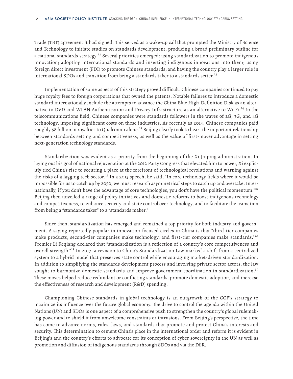Trade (TBT) agreement it had signed. This served as a wake-up call that prompted the Ministry of Science and Technology to initiate studies on standards development, producing a broad preliminary outline for a national standards strategy.<sup>22</sup> Several priorities emerged: using standardization to promote indigenous innovation; adopting international standards and inserting indigenous innovations into them; using foreign direct investment (FDI) to promote Chinese standards; and having the country play a larger role in international SDOs and transition from being a standards taker to a standards setter.<sup>23</sup>

Implementation of some aspects of this strategy proved difficult. Chinese companies continued to pay huge royalty fees to foreign corporations that owned the patents. Notable failures to introduce a domestic standard internationally include the attempts to advance the China Blue High-Definition Disk as an alternative to DVD and WLAN Authentication and Privacy Infrastructure as an alternative to Wi-Fi.<sup>24</sup> In the telecommunications field, Chinese companies were standards followers in the waves of 2G, 3G, and 4G technology, imposing significant costs on these industries. As recently as 2014, Chinese companies paid roughly \$8 billion in royalties to Qualcomm alone.<sup>25</sup> Beijing clearly took to heart the important relationship between standards setting and competitiveness, as well as the value of first-mover advantage in setting next-generation technology standards.

Standardization was evident as a priority from the beginning of the Xi Jinping administration. In laying out his goal of national rejuvenation at the 2012 Party Congress that elevated him to power, Xi explicitly tied China's rise to securing a place at the forefront of technological revolutions and warning against the risks of a lagging tech sector.<sup>26</sup> In a 2013 speech, he said, "In core technology fields where it would be impossible for us to catch up by 2050, we must research asymmetrical steps to catch up and overtake. Internationally, if you don't have the advantage of core technologies, you don't have the political momentum."<sup>27</sup> Beijing then unveiled a range of policy initiatives and domestic reforms to boost indigenous technology and competitiveness, to enhance security and state control over technology, and to facilitate the transition from being a "standards taker" to a "standards maker."

Since then, standardization has emerged and remained a top priority for both industry and government. A saying reportedly popular in innovation-focused circles in China is that "third-tier companies make products, second-tier companies make technology, and first-tier companies make standards."<sup>28</sup> Premier Li Keqiang declared that "standardization is a reflection of a country's core competitiveness and overall strength."<sup>29</sup> In 2017, a revision to China's Standardization Law marked a shift from a centralized system to a hybrid model that preserves state control while encouraging market-driven standardization. In addition to simplifying the standards development process and involving private sector actors, the law sought to harmonize domestic standards and improve government coordination in standardization.<sup>30</sup> These moves helped reduce redundant or conflicting standards, promote domestic adoption, and increase the effectiveness of research and development (R&D) spending.

Championing Chinese standards in global technology is an outgrowth of the CCP's strategy to maximize its influence over the future global economy. The drive to control the agenda within the United Nations (UN) and SDOs is one aspect of a comprehensive push to strengthen the country's global rulemaking power and to shield it from unwelcome constraints or intrusions. From Beijing's perspective, the time has come to advance norms, rules, laws, and standards that promote and protect China's interests and security. This determination to cement China's place in the international order and reform it is evident in Beijing's and the country's efforts to advocate for its conception of cyber sovereignty in the UN as well as promotion and diffusion of indigenous standards through SDOs and via the DSR.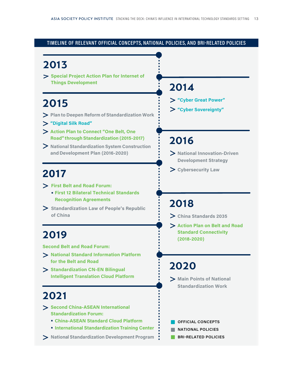#### **TIMELINE OF RELEVANT OFFICIAL CONCEPTS, NATIONAL POLICIES, AND BRI-RELATED POLICIES**

## **2013**

**Special Project Action Plan for Internet of Things Development**

## **2015**

- **Plan to Deepen Reform of Standardization Work**
- **"Digital Silk Road"**
- **Action Plan to Connect "One Belt, One Road"through Standardization (2015-2017)**
- **National Standardization System Construction and Development Plan (2016-2020)**

### **2017**

- **First Belt and Road Forum:**
	- **• First 12 Bilateral Technical Standards Recognition Agreements**
- **Standardization Law of People's Republic of China**

## **2019**

**Second Belt and Road Forum:** 

- **National Standard Information Platform for the Belt and Road**
- **Standardization CN-EN Bilingual Intelligent Translation Cloud Platform**

### **2021**

- **Second China-ASEAN International Standardization Forum:**
	- **• China-ASEAN Standard Cloud Platform**
	- **• International Standardization Training Center**
- **National Standardization Development Program**

### **2014**

- **"Cyber Great Power"**
- **"Cyber Sovereignty"**

### **2016**

- **National Innovation-Driven Development Strategy**
- **Cybersecurity Law**

### **2018**

- **China Standards 2035**
- **Action Plan on Belt and Road Standard Connectivity (2018-2020)**

### **2020**

- **Main Points of National Standardization Work**
	- **OFFICIAL CONCEPTS**
- **NATIONAL POLICIES**
- **BRI-RELATED POLICIES**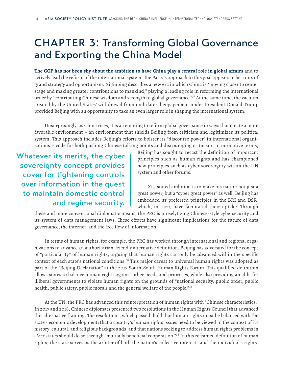### CHAPTER 3: Transforming Global Governance and Exporting the China Model

**The CCP has not been shy about the ambition to have China play a central role in global affairs** and to actively lead the reform of the international system. The Party's approach to this goal appears to be a mix of grand strategy and opportunism. Xi Jinping describes a new era in which China is "moving closer to center stage and making greater contributions to mankind," playing a leading role in reforming the international order by "contributing Chinese wisdom and strength to global governance."31 At the same time, the vacuum created by the United States' withdrawal from multilateral engagement under President Donald Trump provided Beijing with an opportunity to take an even larger role in shaping the international system.

Unsurprisingly, as China rises, it is attempting to reform global governance in ways that create a more favorable environment – an environment that shields Beijing from criticism and legitimizes its political system. This approach includes Beijing's efforts to bolster its "discourse power" in international organizations – code for both pushing Chinese talking points and discouraging criticism. In normative terms,

Whatever its merits, the cyber sovereignty concept provides cover for tightening controls over information in the quest to maintain domestic control and regime security. Beijing has sought to recast the definition of important principles such as human rights and has championed new principles such as cyber sovereignty within the UN system and other forums.

Xi's stated ambition is to make his nation not just a great power, but a "cyber great power" as well. Beijing has embedded its preferred principles in the BRI and DSR, which, in turn, have facilitated their uptake. Through

these and more conventional diplomatic means, the PRC is proselytizing Chinese-style cybersecurity and its system of data management laws. These efforts have significant implications for the future of data governance, the internet, and the free flow of information.

In terms of human rights, for example, the PRC has worked through international and regional organizations to advance an authoritarian-friendly alternative definition. Beijing has advocated for the concept of "particularity" of human rights, arguing that human rights can only be advanced within the specific context of each state's national conditions.<sup>32</sup> This major caveat to universal human rights was adopted as part of the "Beijing Declaration" at the 2017 South-South Human Rights Forum. This qualified definition allows states to balance human rights against other needs and priorities, while also providing an alibi for illiberal governments to violate human rights on the grounds of "national security, public order, public health, public safety, public morals and the general welfare of the people."<sup>33</sup>

At the UN, the PRC has advanced this reinterpretation of human rights with "Chinese characteristics." In 2017 and 2018, Chinese diplomats presented two resolutions in the Human Rights Council that advanced this alternative framing. The resolutions, which passed, hold that human rights must be balanced with the state's economic development; that a country's human rights issues need to be viewed in the context of its history, cultural, and religious backgrounds; and that nations seeking to address human rights problems in *other* states should do so through "mutually beneficial cooperation."34 In this reframed definition of human rights, the state serves as the arbiter of both the nation's collective interests and the individual's rights.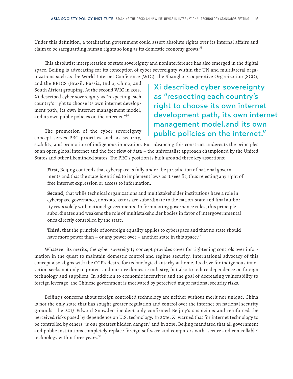Under this definition, a totalitarian government could assert absolute rights over its internal affairs and claim to be safeguarding human rights so long as its domestic economy grows.<sup>35</sup>

This absolutist interpretation of state sovereignty and noninterference has also emerged in the digital space. Beijing is advocating for its conception of cyber sovereignty within the UN and multilateral organizations such as the World Internet Conference (WIC), the Shanghai Cooperative Organization (SCO),

and the BRICS (Brazil, Russia, India, China, and South Africa) grouping. At the second WIC in 2015, Xi described cyber sovereignty as "respecting each country's right to choose its own internet development path, its own internet management model, and its own public policies on the internet."<sup>36</sup>

The promotion of the cyber sovereignty concept serves PRC priorities such as security, Xi described cyber sovereignty as "respecting each country's right to choose its own internet development path, its own internet management model,and its own public policies on the internet."

stability, and promotion of indigenous innovation. But advancing this construct undercuts the principles of an open global internet and the free flow of data – the universalist approach championed by the United States and other likeminded states. The PRC's position is built around three key assertions:

**First**, Beijing contends that cyberspace is fully under the jurisdiction of national governments and that the state is entitled to implement laws as it sees fit, thus rejecting any right of free internet expression or access to information.

**Second**, that while technical organizations and multistakeholder institutions have a role in cyberspace governance, nonstate actors are subordinate to the nation-state and final authority rests solely with national governments. In formulating governance rules, this principle subordinates and weakens the role of multistakeholder bodies in favor of intergovernmental ones directly controlled by the state.

**Third**, that the principle of sovereign equality applies to cyberspace and that no state should have more power than – or any power over – another state in this space.<sup>37</sup>

Whatever its merits, the cyber sovereignty concept provides cover for tightening controls over information in the quest to maintain domestic control and regime security. International advocacy of this concept also aligns with the CCP's desire for technological autarky at home. Its drive for indigenous innovation seeks not only to protect and nurture domestic industry, but also to reduce dependence on foreign technology and suppliers. In addition to economic incentives and the goal of decreasing vulnerability to foreign leverage, the Chinese government is motivated by perceived major national security risks.

Beijing's concerns about foreign controlled technology are neither without merit nor unique. China is not the only state that has sought greater regulation and control over the internet on national security grounds. The 2013 Edward Snowden incident only confirmed Beijing's suspicions and reinforced the perceived risks posed by dependence on U.S. technology. In 2016, Xi warned that for internet technology to be controlled by others "is our greatest hidden danger," and in 2019, Beijing mandated that all government and public institutions completely replace foreign software and computers with "secure and controllable" technology within three years.<sup>38</sup>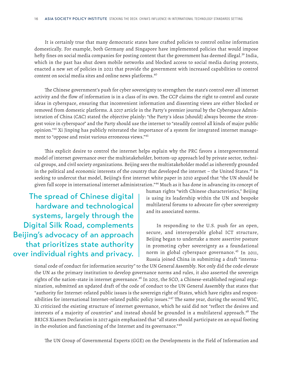It is certainly true that many democratic states have crafted policies to control online information domestically. For example, both Germany and Singapore have implemented policies that would impose hefty fines on social media companies for posting content that the government has deemed illegal.<sup>39</sup> India, which in the past has shut down mobile networks and blocked access to social media during protests, enacted a new set of policies in 2021 that provide the government with increased capabilities to control content on social media sites and online news platforms.<sup>40</sup>

The Chinese government's push for cyber sovereignty to strengthen the state's control over all internet activity and the flow of information is in a class of its own. The CCP claims the right to control and curate ideas in cyberspace, ensuring that inconvenient information and dissenting views are either blocked or removed from domestic platforms. A 2017 article in the Party's premier journal by the Cyberspace Administration of China (CAC) stated the objective plainly: "the Party's ideas [should] always become the strongest voice in cyberspace" and the Party should use the internet to "steadily control all kinds of major public opinion."<sup>41</sup> Xi Jinping has publicly reiterated the importance of a system for integrated internet management to "oppose and resist various erroneous views."<sup>42</sup>

This explicit desire to control the internet helps explain why the PRC favors a intergovernmental model of internet governance over the multistakeholder, bottom-up approach led by private sector, technical groups, and civil society organizations. Beijing sees the multistakeholder model as inherently grounded in the political and economic interests of the country that developed the internet  $-$  the United States.<sup>43</sup> In seeking to undercut that model, Beijing's first internet white paper in 2010 argued that "the UN should be given full scope in international internet administration."<sup>44</sup> Much as it has done in advancing its concept of

The spread of Chinese digital hardware and technological systems, largely through the Digital Silk Road, complements Beijing's advocacy of an approach that prioritizes state authority over individual rights and privacy. human rights "with Chinese characteristics," Beijing is using its leadership within the UN and bespoke multilateral forums to advocate for cyber sovereignty and its associated norms.

In responding to the U.S. push for an open, secure, and interoperable global ICT structure, Beijing began to undertake a more assertive posture in promoting cyber sovereignty as a foundational norm in global cyberspace governance.<sup>45</sup> In 2011, Russia joined China in submitting a draft "interna-

tional code of conduct for information security" to the UN General Assembly. Not only did the code elevate the UN as the primary institution to develop governance norms and rules, it also asserted the sovereign rights of the nation-state in internet governance.<sup>46</sup> In 2015, the SCO, a Chinese-established regional organization, submitted an updated draft of the code of conduct to the UN General Assembly that states that "authority for Internet-related public issues is the sovereign right of States, which have rights and responsibilities for international Internet-related public policy issues."<sup>47</sup> The same year, during the second WIC, Xi criticized the existing structure of internet governance, which he said did not "reflect the desires and interests of a majority of countries" and instead should be grounded in a multilateral approach.<sup>48</sup> The BRICS Xiamen Declaration in 2017 again emphasized that "all states should participate on an equal footing in the evolution and functioning of the Internet and its governance."<sup>49</sup>

The UN Group of Governmental Experts (GGE) on the Developments in the Field of Information and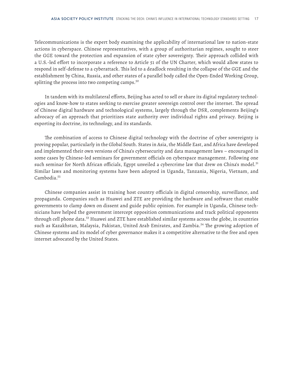Telecommunications is the expert body examining the applicability of international law to nation-state actions in cyberspace. Chinese representatives, with a group of authoritarian regimes, sought to steer the GGE toward the protection and expansion of state cyber sovereignty. Their approach collided with a U.S.-led effort to incorporate a reference to Article 51 of the UN Charter, which would allow states to respond in self-defense to a cyberattack. This led to a deadlock resulting in the collapse of the GGE and the establishment by China, Russia, and other states of a parallel body called the Open-Ended Working Group, splitting the process into two competing camps.<sup>50</sup>

In tandem with its multilateral efforts, Beijing has acted to sell or share its digital regulatory technologies and know-how to states seeking to exercise greater sovereign control over the internet. The spread of Chinese digital hardware and technological systems, largely through the DSR, complements Beijing's advocacy of an approach that prioritizes state authority over individual rights and privacy. Beijing is exporting its doctrine, its technology, and its standards.

The combination of access to Chinese digital technology with the doctrine of cyber sovereignty is proving popular, particularly in the Global South. States in Asia, the Middle East, and Africa have developed and implemented their own versions of China's cybersecurity and data management laws – encouraged in some cases by Chinese-led seminars for government officials on cyberspace management. Following one such seminar for North African officials, Egypt unveiled a cybercrime law that drew on China's model.<sup>51</sup> Similar laws and monitoring systems have been adopted in Uganda, Tanzania, Nigeria, Vietnam, and Cambodia.<sup>52</sup>

Chinese companies assist in training host country officials in digital censorship, surveillance, and propaganda. Companies such as Huawei and ZTE are providing the hardware and software that enable governments to clamp down on dissent and guide public opinion. For example in Uganda, Chinese technicians have helped the government intercept opposition communications and track political opponents through cell phone data.<sup>53</sup> Huawei and ZTE have established similar systems across the globe, in countries such as Kazakhstan, Malaysia, Pakistan, United Arab Emirates, and Zambia.<sup>54</sup> The growing adoption of Chinese systems and its model of cyber governance makes it a competitive alternative to the free and open internet advocated by the United States.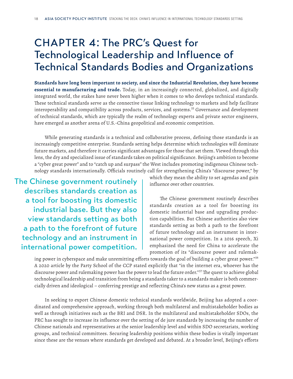## CHAPTER 4: The PRC's Quest for Technological Leadership and Influence of Technical Standards Bodies and Organizations

**Standards have long been important to society, and since the Industrial Revolution, they have become essential to manufacturing and trade.** Today, in an increasingly connected, globalized, and digitally integrated world, the stakes have never been higher when it comes to who develops technical standards. These technical standards serve as the connective tissue linking technology to markets and help facilitate interoperability and compatibility across products, services, and systems.<sup>55</sup> Governance and development of technical standards, which are typically the realm of technology experts and private sector engineers, have emerged as another arena of U.S.-China geopolitical and economic competition.

While generating standards is a technical and collaborative process, defining those standards is an increasingly competitive enterprise. Standards setting helps determine which technologies will dominate future markets, and therefore it carries significant advantages for those that set them. Viewed through this lens, the dry and specialized issue of standards takes on political significance. Beijing's ambition to become a "cyber great power" and to "catch up and surpass" the West includes promoting indigenous Chinese technology standards internationally. Officials routinely call for strengthening China's "discourse power," by

The Chinese government routinely describes standards creation as a tool for boosting its domestic industrial base. But they also view standards setting as both a path to the forefront of future technology and an instrument in international power competition. which they mean the ability to set agendas and gain influence over other countries.

The Chinese government routinely describes standards creation as a tool for boosting its domestic industrial base and upgrading production capabilities. But Chinese authorities also view standards setting as both a path to the forefront of future technology and an instrument in international power competition. In a 2016 speech, Xi emphasized the need for China to accelerate the promotion of its "discourse power and rulemak-

ing power in cyberspace and make unremitting efforts towards the goal of building a cyber great power."<sup>56</sup> A 2020 article by the Party School of the CCP stated explicitly that "in the internet era, whoever has the discourse power and rulemaking power has the power to lead the future order."<sup>57</sup> The quest to achieve global technological leadership and transition from being a standards taker to a standards maker is both commercially driven and ideological – conferring prestige and reflecting China's new status as a great power.

In seeking to export Chinese domestic technical standards worldwide, Beijing has adopted a coordinated and comprehensive approach, working through both multilateral and multistakeholder bodies as well as through initiatives such as the BRI and DSR. In the multilateral and multistakeholder SDOs, the PRC has sought to increase its influence over the setting of de jure standards by increasing the number of Chinese nationals and representatives at the senior leadership level and within SDO secretariats, working groups, and technical committees. Securing leadership positions within these bodies is vitally important since these are the venues where standards get developed and debated. At a broader level, Beijing's efforts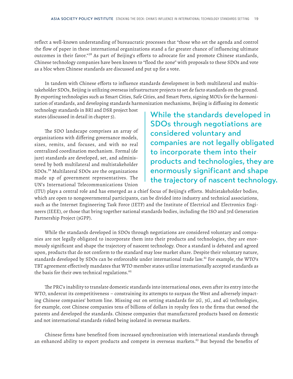reflect a well-known understanding of bureaucratic processes that "those who set the agenda and control the flow of paper in these international organizations stand a far greater chance of influencing ultimate outcomes in their favor."<sup>58</sup> As part of Beijing's efforts to advocate for and promote Chinese standards, Chinese technology companies have been known to "flood the zone" with proposals to these SDOs and vote as a bloc when Chinese standards are discussed and put up for a vote.

In tandem with Chinese efforts to influence standards development in both multilateral and multistakeholder SDOs, Beijing is utilizing overseas infrastructure projects to set de facto standards on the ground. By exporting technologies such as Smart Cities, Safe Cities, and Smart Ports, signing MOUs for the harmonization of standards, and developing standards harmonization mechanisms, Beijing is diffusing its domestic

technology standards in BRI and DSR project host states (discussed in detail in chapter 5).

The SDO landscape comprises an array of organizations with differing governance models, sizes, remits, and focuses, and with no real centralized coordination mechanism. Formal (de jure) standards are developed, set, and administered by both multilateral and multistakeholder SDOs.<sup>59</sup> Multilateral SDOs are the organizations made up of government representatives. The UN's International Telecommunications Union

While the standards developed in SDOs through negotiations are considered voluntary and companies are not legally obligated to incorporate them into their products and technologies, they are enormously significant and shape the trajectory of nascent technology.

(ITU) plays a central role and has emerged as a chief focus of Beijing's efforts. Multistakeholder bodies, which are open to nongovernmental participants, can be divided into industry and technical associations, such as the Internet Engineering Task Force (IETF) and the Institute of Electrical and Electronics Engineers (IEEE), or those that bring together national standards bodies, including the ISO and 3rd Generation Partnership Project (3GPP).

While the standards developed in SDOs through negotiations are considered voluntary and companies are not legally obligated to incorporate them into their products and technologies, they are enormously significant and shape the trajectory of nascent technology. Once a standard is debated and agreed upon, products that do not conform to the standard may lose market share. Despite their voluntary nature, standards developed by SDOs can be enforceable under international trade law.<sup>61</sup> For example, the WTO's TBT agreement effectively mandates that WTO member states utilize internationally accepted standards as the basis for their own technical regulations. $62$ 

The PRC's inability to translate domestic standards into international ones, even after its entry into the WTO, undercut its competitiveness – constraining its attempts to surpass the West and adversely impacting Chinese companies' bottom line. Missing out on setting standards for 2G, 3G, and 4G technologies, for example, cost Chinese companies tens of billions of dollars in royalty fees to the firms that owned the patents and developed the standards. Chinese companies that manufactured products based on domestic and not international standards risked being isolated in overseas markets.

Chinese firms have benefited from increased synchronization with international standards through an enhanced ability to export products and compete in overseas markets.<sup>63</sup> But beyond the benefits of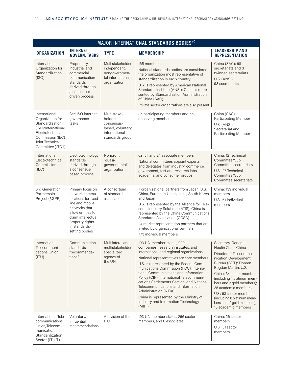| <b>MAJOR INTERNATIONAL STANDARDS BODIES<sup>60</sup></b>                                                                                                    |                                                                                                                                                                                                |                                                                                              |                                                                                                                                                                                                                                                                                                                                                                                                                                                                                                                                              |                                                                                                                                                                                                                                                                                                                                                                       |
|-------------------------------------------------------------------------------------------------------------------------------------------------------------|------------------------------------------------------------------------------------------------------------------------------------------------------------------------------------------------|----------------------------------------------------------------------------------------------|----------------------------------------------------------------------------------------------------------------------------------------------------------------------------------------------------------------------------------------------------------------------------------------------------------------------------------------------------------------------------------------------------------------------------------------------------------------------------------------------------------------------------------------------|-----------------------------------------------------------------------------------------------------------------------------------------------------------------------------------------------------------------------------------------------------------------------------------------------------------------------------------------------------------------------|
| <b>ORGANIZATION</b>                                                                                                                                         | <b>INTERNET</b><br><b>GOVERN. TASKS</b>                                                                                                                                                        | <b>TYPE</b>                                                                                  | <b>MEMBERSHIP</b>                                                                                                                                                                                                                                                                                                                                                                                                                                                                                                                            | <b>LEADERSHIP AND</b><br><b>REPRESENTATION</b>                                                                                                                                                                                                                                                                                                                        |
| International<br>Organization for<br>Standardization<br>(ISO)                                                                                               | Proprietary<br>industrial and<br>commercial<br>communication<br>standards<br>derived through<br>a consensus-<br>driven process                                                                 | Multistakeholder;<br>independent,<br>nongovernmen-<br>tal international<br>organization      | 165 members<br>National standards bodies are considered<br>the organization most representative of<br>standardization in each country<br>U.S. is represented by American National<br>Standards Institute (ANSI); China is repre-<br>sented by Standardization Administration<br>of China (SAC)<br>Private sector organizations are also present                                                                                                                                                                                              | China (SAC): 68<br>secretariats and 3<br>twinned secretariats<br>U.S. (ANSI):<br>98 secretariats                                                                                                                                                                                                                                                                      |
| International<br>Organization for<br>Standardization<br>(ISO)/International<br>Electrotechnical<br>Commission (IEC)<br>Joint Technical<br>Committee (JTC 1) | See ISO internet<br>qovernance<br>tasks                                                                                                                                                        | Multistake-<br>holder;<br>consensus-<br>based, voluntary<br>international<br>standards group | 35 participating members and 65<br>observing members                                                                                                                                                                                                                                                                                                                                                                                                                                                                                         | China (SAC):<br>Participating Member<br>U.S. (ANSI):<br>Secretariat and<br>Participating Member                                                                                                                                                                                                                                                                       |
| International<br>Electrotechnical<br>Commission<br>(IEC)                                                                                                    | Electrotechnology<br>standards<br>derived through<br>a consensus-<br>based process                                                                                                             | Nonprofit,<br>"quasi-<br>governmental"<br>organization                                       | 62 full and 24 associate members<br>National committees appoint experts<br>and delegates from industry, commerce,<br>government, test and research labs,<br>academia, and consumer groups                                                                                                                                                                                                                                                                                                                                                    | China: 12 Technical<br>Committee/Sub<br>Committee secretariats<br>U.S.: 27 Technical<br>Committee/Sub<br>Committee secretariats                                                                                                                                                                                                                                       |
| 3rd Generation<br>Partnership<br>Project (3GPP)                                                                                                             | Primary focus on<br>network commu-<br>nications for fixed<br>line and mobile<br>networks that<br>allow entities to<br>claim intellectual<br>property rights<br>in standards-<br>setting bodies | A consortium<br>of standards<br>associations                                                 | 7 organizational partners from Japan, U.S.,<br>China, European Union, India, South Korea,<br>and Japan<br>U.S. is represented by the Alliance for Tele-<br>coms Industry Solutions (ATIS); China is<br>represented by the China Communications<br>Standards Association (CCSA)<br>24 market representation partners that are<br>invited by organizational partners<br>773 individual members                                                                                                                                                 | China: 139 individual<br>members<br>U.S.: 61 individual<br>members                                                                                                                                                                                                                                                                                                    |
| International<br>Telecommuni-<br>cations Union<br>(ITU)                                                                                                     | Communication<br>standards<br>"recommenda-<br>tions"                                                                                                                                           | Multilateral and<br>multistakeholder:<br>specialized<br>agency of<br>the UN                  | 193 UN member states; 900+<br>companies, research institutes, and<br>international and regional organizations<br>National representatives are core members<br>U.S. is represented by the Federal Com-<br>munications Commission (FCC), Interna-<br>tional Communications and Information<br>Policy (CIP), International Telecommuni-<br>cations Settlements Section, and National<br>Telecommunications and Information<br>Administration (NTIA)<br>China is represented by the Ministry of<br>Industry and Information Technology<br>(MIIT) | Secretary-General:<br>Houlin Zhao, China<br>Director of Telecommu-<br>nication Development<br>Bureau (BDT): Doreen<br>Bogdan Martin, U.S.<br>China: 34 sector members<br>(including 4 platinum mem-<br>bers and 3 gold members);<br>28 academic members<br>U.S.: 63 sector members<br>(including 8 platinum mem-<br>bers and 12 gold members);<br>10 academic members |
| International Tele-<br>communications<br>Union, Telecom-<br>munication<br>Standardization<br>Sector (ITU-T)                                                 | Voluntary,<br>influential<br>recommendations                                                                                                                                                   | A division of the<br><b>ITU</b>                                                              | 193 UN member states, 266 sector<br>members, and 6 associates                                                                                                                                                                                                                                                                                                                                                                                                                                                                                | China: 26 sector<br>members<br>U.S.: 31 sector<br>members                                                                                                                                                                                                                                                                                                             |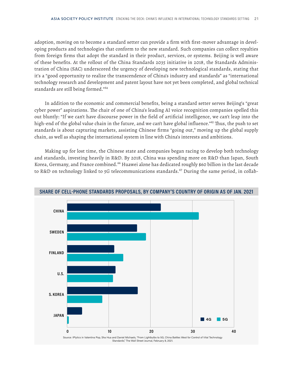adoption, moving on to become a standard setter can provide a firm with first-mover advantage in developing products and technologies that conform to the new standard. Such companies can collect royalties from foreign firms that adopt the standard in their product, services, or systems. Beijing is well aware of these benefits. At the rollout of the China Standards 2035 initiative in 2018, the Standards Administration of China (SAC) underscored the urgency of developing new technological standards, stating that it's a "good opportunity to realize the transcendence of China's industry and standards" as "international technology research and development and patent layout have not yet been completed, and global technical standards are still being formed."<sup>64</sup>

In addition to the economic and commercial benefits, being a standard setter serves Beijing's "great cyber power" aspirations. The chair of one of China's leading AI voice recognition companies spelled this out bluntly: "If we can't have discourse power in the field of artificial intelligence, we can't leap into the high-end of the global value chain in the future, and we can't have global influence."<sup>65</sup> Thus, the push to set standards is about capturing markets, assisting Chinese firms "going out," moving up the global supply chain, as well as shaping the international system in line with China's interests and ambitions.

Making up for lost time, the Chinese state and companies began racing to develop both technology and standards, investing heavily in R&D. By 2018, China was spending more on R&D than Japan, South Korea, Germany, and France combined.<sup>66</sup> Huawei alone has dedicated roughly \$60 billion in the last decade to R&D on technology linked to 5G telecommunications standards.<sup>67</sup> During the same period, in collab-



#### **SHARE OF CELL-PHONE STANDARDS PROPOSALS, BY COMPANY'S COUNRY OF ORIGIN SHARE OF CELL-PHONE STANDARDS PROPOSALS, BY COMPANY'S COUNTRY OF ORIGIN AS OF JAN. 2021**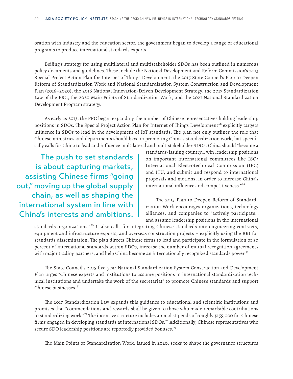oration with industry and the education sector, the government began to develop a range of educational programs to produce international standards experts.

Beijing's strategy for using multilateral and multistakeholder SDOs has been outlined in numerous policy documents and guidelines. These include the National Development and Reform Commission's 2013 Special Project Action Plan for Internet of Things Development, the 2015 State Council's Plan to Deepen Reform of Standardization Work and National Standardization System Construction and Development Plan (2016–2020), the 2016 National Innovation-Driven Development Strategy, the 2017 Standardization Law of the PRC, the 2020 Main Points of Standardization Work, and the 2021 National Standardization Development Program strategy.

As early as 2013, the PRC began expanding the number of Chinese representatives holding leadership positions in SDOs. The Special Project Action Plan for Internet of Things Development<sup>68</sup> explicitly targets influence in SDOs to lead in the development of IoT standards. The plan not only outlines the role that Chinese ministries and departments should have in promoting China's standardization work, but specifically calls for China to lead and influence multilateral and multistakeholder SDOs. China should "become a

 The push to set standards is about capturing markets, assisting Chinese firms "going out," moving up the global supply chain, as well as shaping the international system in line with China's interests and ambitions. standards-issuing country… win leadership positions on important international committees like ISO/ International Electrotechnical Commission (IEC) and ITU, and submit and respond to international proposals and motions, in order to increase China's international influence and competitiveness."<sup>69</sup>

The 2015 Plan to Deepen Reform of Standardization Work encourages organizations, technology alliances, and companies to "actively participate… and assume leadership positions in the international

standards organizations."70 It also calls for integrating Chinese standards into engineering contracts, equipment and infrastructure exports, and overseas construction projects – explicitly using the BRI for standards dissemination. The plan directs Chinese firms to lead and participate in the formulation of 50 percent of international standards within SDOs, increase the number of mutual recognition agreements with major trading partners, and help China become an internationally recognized standards power.<sup>71</sup>

The State Council's 2015 five-year National Standardization System Construction and Development Plan urges "Chinese experts and institutions to assume positions in international standardization technical institutions and undertake the work of the secretariat" to promote Chinese standards and support Chinese businesses.<sup>72</sup>

The 2017 Standardization Law expands this guidance to educational and scientific institutions and promises that "commendations and rewards shall be given to those who made remarkable contributions to standardizing work."<sup>73</sup> The incentive structure includes annual stipends of roughly \$155,000 for Chinese firms engaged in developing standards at international SDOs.<sup>74</sup> Additionally, Chinese representatives who secure SDO leadership positions are reportedly provided bonuses.<sup>75</sup>

The Main Points of Standardization Work, issued in 2020, seeks to shape the governance structures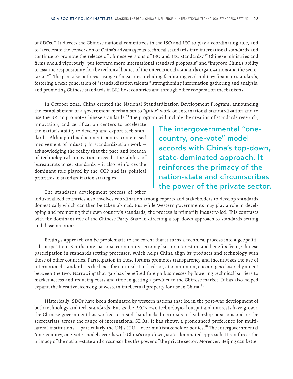of SDOs.<sup>76</sup> It directs the Chinese national committees in the ISO and IEC to play a coordinating role, and to "accelerate the conversion of China's advantageous technical standards into international standards and continue to promote the release of Chinese versions of ISO and IEC standards."<sup>77</sup> Chinese ministries and firms should vigorously "put forward more international standard proposals" and "improve China's ability to assume responsibility for the technical bodies of the international standards organizations and the secretariat."78 The plan also outlines a range of measures including facilitating civil-military fusion in standards, fostering a next generation of "standardization talents," strengthening information gathering and analysis, and promoting Chinese standards in BRI host countries and through other cooperation mechanisms.

In October 2021, China created the National Standardization Development Program, announcing the establishment of a government mechanism to "guide" work on international standardization and to use the BRI to promote Chinese standards.<sup>79</sup> The program will include the creation of standards research,

innovation, and certification centers to accelerate the nation's ability to develop and export tech standards. Although this document points to increased involvement of industry in standardization work – acknowledging the reality that the pace and breadth of technological innovation exceeds the ability of bureaucrats to set standards – it also reinforces the dominant role played by the CCP and its political priorities in standardization strategies.

The standards development process of other

The intergovernmental "onecountry, one-vote" model accords with China's top-down, state-dominated approach. It reinforces the primacy of the nation-state and circumscribes the power of the private sector.

industrialized countries also involves coordination among experts and stakeholders to develop standards domestically which can then be taken abroad. But while Western governments may play a role in developing and promoting their own country's standards, the process is primarily industry-led. This contrasts with the dominant role of the Chinese Party-State in directing a top-down approach to standards setting and dissemination.

Beijing's approach can be problematic to the extent that it turns a technical process into a geopolitical competition. But the international community certainly has an interest in, and benefits from, Chinese participation in standards setting processes, which helps China align its products and technology with those of other countries. Participation in these forums promotes transparency and incentivizes the use of international standards as the basis for national standards or, at a minimum, encourages closer alignment between the two. Narrowing that gap has benefited foreign businesses by lowering technical barriers to market access and reducing costs and time in getting a product to the Chinese market. It has also helped expand the lucrative licensing of western intellectual property for use in China.<sup>80</sup>

Historically, SDOs have been dominated by western nations that led in the post-war development of both technology and tech standards. But as the PRC's own technological output and interests have grown, the Chinese government has worked to install handpicked nationals in leadership positions and in the secretariats across the range of international SDOs. It has shown a pronounced preference for multilateral institutions - particularly the UN's ITU - over multistakeholder bodies.<sup>81</sup> The intergovernmental "one-country, one-vote" model accords with China's top-down, state-dominated approach. It reinforces the primacy of the nation-state and circumscribes the power of the private sector. Moreover, Beijing can better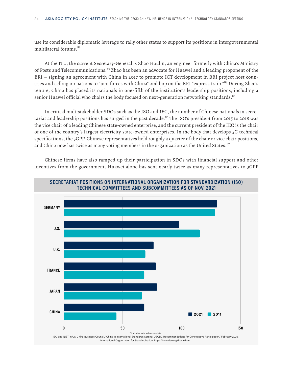use its considerable diplomatic leverage to rally other states to support its positions in intergovernmental multilateral forums.<sup>82</sup>

At the ITU, the current Secretary-General is Zhao Houlin, an engineer formerly with China's Ministry of Posts and Telecommunications.83 Zhao has been an advocate for Huawei and a leading proponent of the BRI – signing an agreement with China in 2017 to promote ICT development in BRI project host countries and calling on nations to "join forces with China" and hop on the BRI "express train."<sup>84</sup> During Zhao's tenure, China has placed its nationals in one-fifth of the institution's leadership positions, including a senior Huawei official who chairs the body focused on next-generation networking standards.<sup>85</sup>

In critical multistakeholder SDOs such as the ISO and IEC, the number of Chinese nationals in secretariat and leadership positions has surged in the past decade.<sup>86</sup> The ISO's president from 2015 to 2018 was the vice chair of a leading Chinese state-owned enterprise, and the current president of the IEC is the chair of one of the country's largest electricity state-owned enterprises. In the body that develops 5G technical specifications, the 3GPP, Chinese representatives hold roughly a quarter of the chair or vice chair positions, and China now has twice as many voting members in the organization as the United States.<sup>87</sup>

Chinese firms have also ramped up their participation in SDOs with financial support and other incentives from the government. Huawei alone has sent nearly twice as many representatives to 3GPP



International Organization for Standardization. https://www.iso.org/home.htm

**SECRETARIAT POSITIONS ON INTERNATIONAL ORGANIZATION FOR STANDARDIZATION (ISO) SECRETARIAT POSITIONS ON INTERNATIONAL ORGANIZATION FOR STANDARDIZATION (ISO)**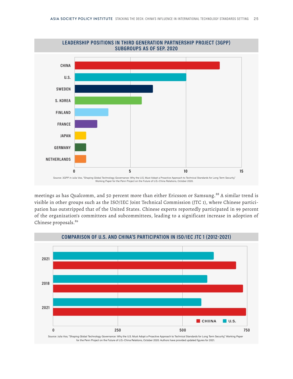

meetings as has Qualcomm, and 50 percent more than either Ericsson or Samsung.<sup>88</sup> A similar trend is visible in other groups such as the ISO/IEC Joint Technical Commission (JTC 1), where Chinese participation has outstripped that of the United States. Chinese experts reportedly participated in 99 percent of the organization's committees and subcommittees, leading to a significant increase in adoption of Chinese proposals.<sup>89</sup>



Source: Julia Voo, "Shaping Global Technology Governance: Why the U.S. Must Adopt a Proactive Approach to Technical Standards for Long Term Security," Working Paper for the Penn Project on the Future of U.S.-China Relations, October 2020. Authors have provided updated figures for 2021.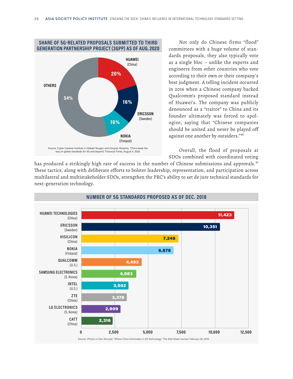

Not only do Chinese firms "flood" committees with a huge volume of standards proposals, they also typically vote as a single bloc – unlike the experts and engineers from other countries who vote according to their own or their company's best judgment. A telling incident occurred in 2016 when a Chinese company backed Qualcomm's proposed standard instead of Huawei's. The company was publicly denounced as a "traitor" to China and its founder ultimately was forced to apologize, saying that "Chinese companies should be united and never be played off against one another by outsiders."90

Overall, the flood of proposals at SDOs combined with coordinated voting

has produced a strikingly high rate of success in the number of Chinese submissions and approvals.<sup>91</sup> These tactics, along with deliberate efforts to bolster leadership, representation, and participation across multilateral and multistakeholder SDOs, strengthen the PRC's ability to set de jure technical standards for next-generation technology.

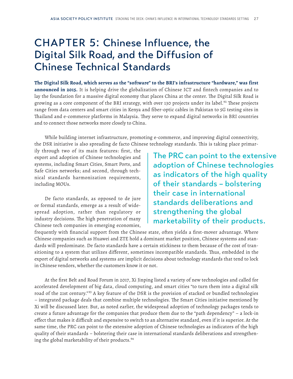### CHAPTER 5: Chinese Influence, the Digital Silk Road, and the Diffusion of Chinese Technical Standards

**The Digital Silk Road, which serves as the "software" to the BRI's infrastructure "hardware," was first announced in 2015.** It is helping drive the globalization of Chinese ICT and fintech companies and to lay the foundation for a massive digital economy that places China at the center. The Digital Silk Road is growing as a core component of the BRI strategy, with over 130 projects under its label.<sup>92</sup> These projects range from data centers and smart cities in Kenya and fiber-optic cables in Pakistan to 5G testing sites in Thailand and e-commerce platforms in Malaysia. They serve to expand digital networks in BRI countries and to connect those networks more closely to China.

While building internet infrastructure, promoting e-commerce, and improving digital connectivity, the DSR initiative is also spreading de facto Chinese technology standards. This is taking place primar-

ily through two of its main features: first, the export and adoption of Chinese technologies and systems, including Smart Cities, Smart Ports, and Safe Cities networks; and second, through technical standards harmonization requirements, including MOUs.

De facto standards, as opposed to de jure or formal standards, emerge as a result of widespread adoption, rather than regulatory or industry decisions. The high penetration of many Chinese tech companies in emerging economies,

The PRC can point to the extensive adoption of Chinese technologies as indicators of the high quality of their standards – bolstering their case in international standards deliberations and strengthening the global marketability of their products.

frequently with financial support from the Chinese state, often yields a first-mover advantage. Where Chinese companies such as Huawei and ZTE hold a dominant market position, Chinese systems and standards will predominate. De facto standards have a certain stickiness to them because of the cost of transitioning to a system that utilizes different, sometimes incompatible standards. Thus, embedded in the export of digital networks and systems are implicit decisions about technology standards that tend to lock in Chinese vendors, whether the customers know it or not.

At the first Belt and Road Forum in 2017, Xi Jinping listed a variety of new technologies and called for accelerated development of big data, cloud computing, and smart cities "to turn them into a digital silk road of the 21st century."<sup>93</sup> A key feature of the DSR is the provision of stacked or bundled technologies – integrated package deals that combine multiple technologies. The Smart Cities initiative mentioned by Xi will be discussed later. But, as noted earlier, the widespread adoption of technology packages tends to create a future advantage for the companies that produce them due to the "path dependency" – a lock-in effect that makes it difficult and expensive to switch to an alternative standard, even if it is superior. At the same time, the PRC can point to the extensive adoption of Chinese technologies as indicators of the high quality of their standards – bolstering their case in international standards deliberations and strengthening the global marketability of their products.<sup>94</sup>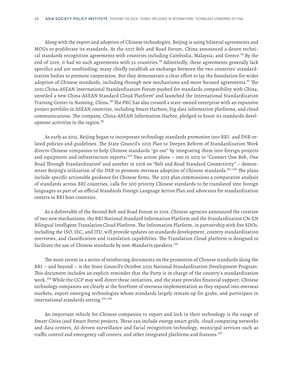Along with the export and adoption of Chinese technologies, Beijing is using bilateral agreements and MOUs to proliferate its standards. At the 2017 Belt and Road Forum, China announced a dozen technical standards recognition agreements with countries including Cambodia, Malaysia, and Greece.<sup>95</sup> By the end of 2019, it had 90 such agreements with 52 countries.<sup>96</sup> Admittedly, these agreements generally lack specifics and are nonbinding; many chiefly establish an exchange between the two countries' standardization bodies to promote cooperation. But they demonstrate a clear effort to lay the foundation for wider adoption of Chinese standards, including through new mechanisms and more focused agreements.<sup>97</sup> The 2021 China-ASEAN International Standardization Forum pushed for standards compatibility with China, unveiled a new China-ASEAN Standard Cloud Platform" and launched the International Standardization Training Center in Nanning, China.<sup>98</sup> The PRC has also created a state-owned enterprise with an expansive project portfolio in ASEAN countries, including Smart Harbors, big data information platforms, and cloud communications. The company, China-ASEAN Information Harbor, pledged to boost its standards development activities in the region.<sup>99</sup>

As early as 2015, Beijing began to incorporate technology standards promotion into BRI- and DSR-related policies and guidelines. The State Council's 2015 Plan to Deepen Reform of Standardization Work directs Chinese companies to help Chinese standards "go out" by integrating them into foreign projects and equipment and infrastructure exports.<sup>100</sup> Two action plans – one in 2015 to "Connect One Belt, One Road Through Standardization" and another in 2018 on "Belt and Road Standard Connectivity" – demonstrate Beijing's utilization of the DSR to promote overseas adoption of Chinese standards.<sup>101, 102</sup> The plans include specific actionable guidance for Chinese firms. The 2015 plan commissions a comparative analysis of standards across BRI countries, calls for 500 priority Chinese standards to be translated into foreign languages as part of an official Standards Foreign Language Action Plan and advocates for standardization centers in BRI host countries.

As a deliverable of the Second Belt and Road Forum in 2019, Chinese agencies announced the creation of two new mechanisms, the BRI National Standard Information Platform and the Standardization CN-EN Bilingual Intelligent Translation Cloud Platform. The Information Platform, in partnership with five SDOs, including the ISO, IEC, and ITU, will provide updates on standards development, country standardization overviews, and classification and translation capabilities. The Translation Cloud platform is designed to facilitate the use of Chinese standards by non-Mandarin speakers.<sup>103</sup>

The most recent in a series of reinforcing documents on the promotion of Chinese standards along the BRI – and beyond – is the State Council's October 2021 National Standardization Development Program. This document includes an explicit reminder that the Party is in charge of the country's standardization work.<sup>104</sup> While the CCP may well direct these initiatives, and the state provides financial support, Chinese technology companies are clearly at the forefront of overseas implementation as they expand into overseas markets, export emerging technologies whose standards largely remain up for grabs, and participate in international standards setting.<sup>105, 106</sup>

An important vehicle for Chinese companies to export and lock in their technology is the range of Smart Cities (and Smart Ports) projects. These can include energy smart grids, cloud computing networks and data centers, AI-driven surveillance and facial recognition technology, municipal services such as traffic control and emergency call centers, and other integrated platforms and features.<sup>107</sup>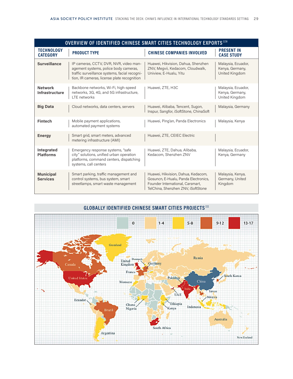| OVERVIEW OF IDENTIFIED CHINESE SMART CITIES TECHNOLOGY EXPORTS <sup>108</sup> |                                                                                                                                                                                 |                                                                                                                                                      |                                                         |  |
|-------------------------------------------------------------------------------|---------------------------------------------------------------------------------------------------------------------------------------------------------------------------------|------------------------------------------------------------------------------------------------------------------------------------------------------|---------------------------------------------------------|--|
| <b>TECHNOLOGY</b><br><b>CATEGORY</b>                                          | <b>PRODUCT TYPE</b>                                                                                                                                                             | <b>CHINESE COMPANIES INVOLVED</b>                                                                                                                    | <b>PRESENT IN</b><br><b>CASE STUDY</b>                  |  |
| <b>Surveillance</b>                                                           | IP cameras, CCTV, DVR, NVR, video man-<br>agement systems, police body cameras,<br>traffic surveillance systems, facial recogni-<br>tion, IR cameras, license plate recognition | Huawei, Hikvision, Dahua, Shenzhen<br>ZNV, Megvii, Kedacom, Cloudwalk,<br>Uniview, E-Hualu, Yitu                                                     | Malaysia, Ecuador,<br>Kenya, Germany,<br>United Kingdom |  |
| <b>Network</b><br><b>Infrastructure</b>                                       | Backbone networks, Wi-Fi, high-speed<br>networks, 3G, 4G, and 5G infrastructure,<br>LTE networks                                                                                | Huawei, ZTE, H3C                                                                                                                                     | Malaysia, Ecuador,<br>Kenya, Germany,<br>United Kingdom |  |
| <b>Big Data</b>                                                               | Cloud networks, data centers, servers                                                                                                                                           | Huawei, Alibaba, Tencent, Sugon,<br>Inspur, Sangfor, iSoftStone, ChinaSoft                                                                           | Malaysia, Germany                                       |  |
| <b>Fintech</b>                                                                | Mobile payment applications,<br>automated payment systems                                                                                                                       | Huawei, Ping'an, Panda Electronics                                                                                                                   | Malaysia, Kenya                                         |  |
| <b>Energy</b>                                                                 | Smart grid, smart meters, advanced<br>metering infrastructure (AMI)                                                                                                             | Huawei, ZTE, CEIEC Electric                                                                                                                          |                                                         |  |
| Integrated<br><b>Platforms</b>                                                | Emergency response systems, "safe<br>city" solutions, unified urban operation<br>platforms, command centers, dispatching<br>systems, call centers                               | Huawei, ZTE, Dahua, Alibaba,<br>Kedacom, Shenzhen ZNV                                                                                                | Malaysia, Ecuador,<br>Kenya, Germany                    |  |
| <b>Municipal</b><br><b>Services</b>                                           | Smart parking, traffic management and<br>control systems, bus system, smart<br>streetlamps, smart waste management                                                              | Huawei, Hikvision, Dahua, Kedacom,<br>Gosuncn, E-Hualu, Panda Electronics,<br>Founder International, Carsmart,<br>TelChina, Shenzhen ZNV, iSoftStone | Malaysia, Kenya,<br>Germany, United<br>Kingdom          |  |

#### $\mathbf{0}$  $1 - 4$  $5 - 8$  $9 - 12$  $13 - 17$ Greenland Russia United<br>Kingdom Germany France South Korea Inited Sta Pakistan China Morocco ٠. Taiwan **UAE** Malaysia Ecuador Ethiopia Ghana Indonesia Nigeria Kenya Brazil Australia South Africa Argentina New Zealand

**GLOBALLY IDENTIFIED CHINESE SMART CITIES PROJECTS 111**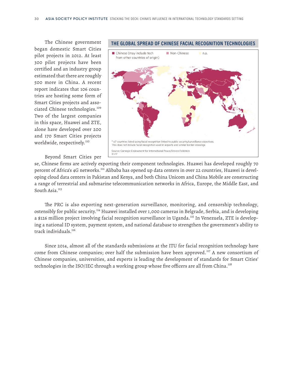began domestic Smart Cities pilot projects in 2012. At least 300 pilot projects have been certified and an industry group estimated that there are roughly 500 more in China. A recent report indicates that 106 countries are hosting some form of Smart Cities projects and associated Chinese technologies.<sup>109</sup> Two of the largest companies in this space, Huawei and ZTE, alone have developed over 200 and 170 Smart Cities projects worldwide, respectively.<sup>110</sup>

Beyond Smart Cities per

#### The Chinese government THE GLOBAL SPREAD OF CHINESE FACIAL RECOGNITION TECHNOLOGIES



se, Chinese firms are actively exporting their component technologies. Huawei has developed roughly 70 percent of Africa's 4G networks.<sup>112</sup> Alibaba has opened up data centers in over 22 countries, Huawei is developing cloud data centers in Pakistan and Kenya, and both China Unicom and China Mobile are constructing a range of terrestrial and submarine telecommunication networks in Africa, Europe, the Middle East, and South Asia.<sup>113</sup>

The PRC is also exporting next-generation surveillance, monitoring, and censorship technology, ostensibly for public security.<sup>114</sup> Huawei installed over 1,000 cameras in Belgrade, Serbia, and is developing a \$126 million project involving facial recognition surveillance in Uganda.<sup>115</sup> In Venezuela, ZTE is developing a national ID system, payment system, and national database to strengthen the government's ability to track individuals.<sup>116</sup>

Since 2014, almost all of the standards submissions at the ITU for facial recognition technology have come from Chinese companies; over half the submission have been approved.<sup>117</sup> A new consortium of Chinese companies, universities, and experts is leading the development of standards for Smart Cities' technologies in the ISO/IEC through a working group whose five officers are all from China.<sup>118</sup>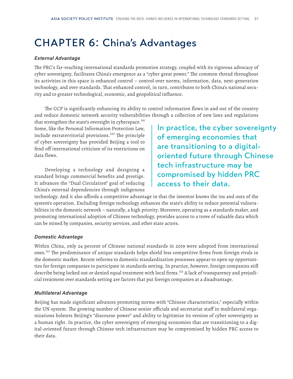### CHAPTER 6: China's Advantages

#### *External Advantage*

The PRC's far-reaching international standards promotion strategy, coupled with its vigorous advocacy of cyber sovereignty, facilitates China's emergence as a "cyber great power." The common thread throughout its activities in this space is enhanced control – control over norms, information, data, next-generation technology, and over standards. That enhanced control, in turn, contributes to both China's national security and to greater technological, economic, and geopolitical influence.

The CCP is significantly enhancing its ability to control information flows in and out of the country and reduce domestic network security vulnerabilities through a collection of new laws and regulations

that strengthen the state's oversight in cyberspace.<sup>119</sup> Some, like the Personal Information Protection Law, include extraterritorial provisions.<sup>120</sup> The principle of cyber sovereignty has provided Beijing a tool to fend off international criticism of its restrictions on data flows.

Developing a technology and designing a standard brings commercial benefits and prestige. It advances the "Dual Circulation" goal of reducing China's external dependencies through indigenous

In practice, the cyber sovereignty of emerging economies that are transitioning to a digitaloriented future through Chinese tech infrastructure may be compromised by hidden PRC access to their data.

technology. And it also affords a competitive advantage in that the inventor knows the ins and outs of the system's operation. Excluding foreign technology enhances the state's ability to reduce potential vulnerabilities in the domestic network – naturally, a high priority. Moreover, operating as a standards maker, and promoting international adoption of Chinese technology, provides access to a trove of valuable data which can be mined by companies, security services, and other state actors.

#### *Domestic Advantage*

Within China, only 24 percent of Chinese national standards in 2019 were adopted from international ones.<sup>121</sup> The predominance of unique standards helps shield less competitive firms from foreign rivals in the domestic market. Recent reforms to domestic standardization processes appear to open up opportunities for foreign companies to participate in standards setting. In practice, however, foreign companies still describe being locked out or denied equal treatment with local firms.122 A lack of transparency and prejudicial treatment over standards setting are factors that put foreign companies at a disadvantage.

#### *Multilateral Advantage*

Beijing has made significant advances promoting norms with "Chinese characteristics," especially within the UN system. The growing number of Chinese senior officials and secretariat staff in multilateral organizations bolsters Beijing's "discourse power" and ability to legitimize its version of cyber sovereignty as a human right. In practice, the cyber sovereignty of emerging economies that are transitioning to a digital-oriented future through Chinese tech infrastructure may be compromised by hidden PRC access to their data.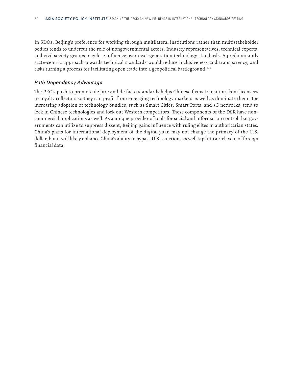In SDOs, Beijing's preference for working through multilateral institutions rather than multistakeholder bodies tends to undercut the role of nongovernmental actors. Industry representatives, technical experts, and civil society groups may lose influence over next-generation technology standards. A predominantly state-centric approach towards technical standards would reduce inclusiveness and transparency, and risks turning a process for facilitating open trade into a geopolitical battleground.<sup>123</sup>

#### *Path Dependency Advantage*

The PRC's push to promote de jure and de facto standards helps Chinese firms transition from licensees to royalty collectors so they can profit from emerging technology markets as well as dominate them. The increasing adoption of technology bundles, such as Smart Cities, Smart Ports, and 5G networks, tend to lock in Chinese technologies and lock out Western competitors. These components of the DSR have noncommercial implications as well. As a unique provider of tools for social and information control that governments can utilize to suppress dissent, Beijing gains influence with ruling elites in authoritarian states. China's plans for international deployment of the digital yuan may not change the primacy of the U.S. dollar, but it will likely enhance China's ability to bypass U.S. sanctions as well tap into a rich vein of foreign financial data.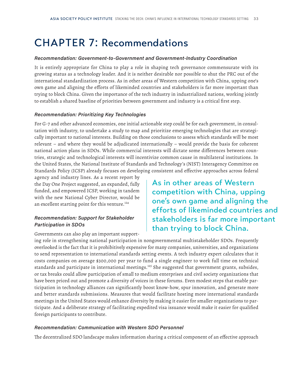### CHAPTER 7: Recommendations

#### *Recommendation: Government-to-Government and Government-Industry Coordination*

It is entirely appropriate for China to play a role in shaping tech governance commensurate with its growing status as a technology leader. And it is neither desirable nor possible to shut the PRC out of the international standardization process. As in other areas of Western competition with China, upping one's own game and aligning the efforts of likeminded countries and stakeholders is far more important than trying to block China. Given the importance of the tech industry in industrialized nations, working jointly to establish a shared baseline of priorities between government and industry is a critical first step.

#### *Recommendation: Prioritizing Key Technologies*

For G-7 and other advanced economies, one initial actionable step could be for each government, in consultation with industry, to undertake a study to map and prioritize emerging technologies that are strategically important to national interests. Building on those conclusions to assess which standards will be most relevant – and where they would be adjudicated internationally – would provide the basis for coherent national action plans in SDOs. While commercial interests will dictate some differences between countries, strategic and technological interests will incentivize common cause in multilateral institutions. In the United States, the National Institute of Standards and Technology's (NIST) Interagency Committee on Standards Policy (ICSP) already focuses on developing consistent and effective approaches across federal

agency and industry lines. As a recent report by the Day One Project suggested, an expanded, fully funded, and empowered ICSP, working in tandem with the new National Cyber Director, would be an excellent starting point for this venture.<sup>124</sup>

#### *Recommendation: Support for Stakeholder Participation in SDOs*

Governments can also play an important support-

As in other areas of Western competition with China, upping one's own game and aligning the efforts of likeminded countries and stakeholders is far more important than trying to block China.

ing role in strengthening national participation in nongovernmental multistakeholder SDOs. Frequently overlooked is the fact that it is prohibitively expensive for many companies, universities, and organizations to send representation to international standards setting events. A tech industry expert calculates that it costs companies on average \$300,000 per year to fund a single engineer to work full time on technical standards and participate in international meetings.<sup>125</sup> She suggested that government grants, subsides, or tax breaks could allow participation of small to medium enterprises and civil society organizations that have been priced out and promote a diversity of voices in these forums. Even modest steps that enable participation in technology alliances can significantly boost know-how, spur innovation, and generate more and better standards submissions. Measures that would facilitate hosting more international standards meetings in the United States would enhance diversity by making it easier for smaller organizations to participate. And a deliberate strategy of facilitating expedited visa issuance would make it easier for qualified foreign participants to contribute.

#### *Recommendation: Communication with Western SDO Personnel*

The decentralized SDO landscape makes information sharing a critical component of an effective approach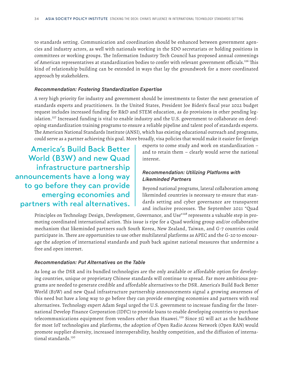to standards setting. Communication and coordination should be enhanced between government agencies and industry actors, as well with nationals working in the SDO secretariats or holding positions in committees or working groups. The Information Industry Tech Council has proposed annual convenings of American representatives at standardization bodies to confer with relevant government officials.<sup>126</sup> This kind of relationship building can be extended in ways that lay the groundwork for a more coordinated approach by stakeholders.

#### *Recommendation: Fostering Standardization Expertise*

A very high priority for industry and government should be investments to foster the next generation of standards experts and practitioners. In the United States, President Joe Biden's fiscal year 2022 budget request includes increased funding for R&D and STEM education, as do provisions in other pending legislation.<sup>127</sup> Increased funding is vital to enable industry and the U.S. government to collaborate on developing standardization training programs to ensure a reliable pipeline and talent pool of standards experts. The American National Standards Institute (ANSI), which has existing educational outreach and programs, could serve as a partner achieving this goal. More broadly, visa policies that would make it easier for foreign

America's Build Back Better World (B3W) and new Quad infrastructure partnership announcements have a long way to go before they can provide emerging economies and partners with real alternatives.

experts to come study and work on standardization – and to retain them – clearly would serve the national interest.

#### *Recommendation: Utilizing Platforms with Likeminded Partners*

Beyond national programs, lateral collaboration among likeminded countries is necessary to ensure that standards setting and cyber governance are transparent and inclusive processes. The September 2021 "Quad

Principles on Technology Design, Development, Governance, and Use"<sup>128</sup> represents a valuable step in promoting coordinated international action. This issue is ripe for a Quad working group and/or collaborative mechanism that likeminded partners such South Korea, New Zealand, Taiwan, and G-7 countries could participate in. There are opportunities to use other multilateral platforms as APEC and the G-20 to encourage the adoption of international standards and push back against national measures that undermine a free and open internet.

#### *Recommendation: Put Alternatives on the Table*

As long as the DSR and its bundled technologies are the only available or affordable option for developing countries, unique or proprietary Chinese standards will continue to spread. Far more ambitious programs are needed to generate credible and affordable alternatives to the DSR. America's Build Back Better World (B3W) and new Quad infrastructure partnership announcements signal a growing awareness of this need but have a long way to go before they can provide emerging economies and partners with real alternatives. Technology expert Adam Segal urged the U.S. government to increase funding for the International Develop Finance Corporation (IDFC) to provide loans to enable developing countries to purchase telecommunications equipment from vendors other than Huawei.<sup>129</sup> Since 5G will act as the backbone for most IoT technologies and platforms, the adoption of Open Radio Access Network (Open RAN) would promote supplier diversity, increased interoperability, healthy competition, and the diffusion of international standards.<sup>130</sup>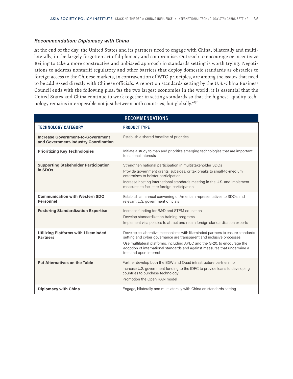#### *Recommendation: Diplomacy with China*

At the end of the day, the United States and its partners need to engage with China, bilaterally and multilaterally, in the largely forgotten art of diplomacy and compromise. Outreach to encourage or incentivize Beijing to take a more constructive and unbiased approach in standards setting is worth trying. Negotiations to address nontariff regulatory and other barriers that deploy domestic standards as obstacles to foreign access to the Chinese markets, in contravention of WTO principles, are among the issues that need to be addressed directly with Chinese officials. A report on standards setting by the U.S.-China Business Council ends with the following plea: "As the two largest economies in the world, it is essential that the United States and China continue to work together in setting standards so that the highest- quality technology remains interoperable not just between both countries, but globally."<sup>131</sup>

|                                                                                  | <b>RECOMMENDATIONS</b>                                                                                                                                                                                                                                                                                                                     |
|----------------------------------------------------------------------------------|--------------------------------------------------------------------------------------------------------------------------------------------------------------------------------------------------------------------------------------------------------------------------------------------------------------------------------------------|
| <b>TECHNOLOGY CATEGORY</b>                                                       | <b>PRODUCT TYPE</b>                                                                                                                                                                                                                                                                                                                        |
| <b>Increase Government-to-Government</b><br>and Government-Industry Coordination | Establish a shared baseline of priorities                                                                                                                                                                                                                                                                                                  |
| <b>Prioritizing Key Technologies</b>                                             | Initiate a study to map and prioritize emerging technologies that are important<br>to national interests                                                                                                                                                                                                                                   |
| <b>Supporting Stakeholder Participation</b><br>in SDO <sub>s</sub>               | Strengthen national participation in multistakeholder SDOs<br>Provide government grants, subsides, or tax breaks to small-to-medium<br>enterprises to bolster participation<br>Increase hosting international standards meeting in the U.S. and implement<br>measures to facilitate foreign participation                                  |
| <b>Communication with Western SDO</b><br><b>Personnel</b>                        | Establish an annual convening of American representatives to SDOs and<br>relevant U.S. government officials                                                                                                                                                                                                                                |
| <b>Fostering Standardization Expertise</b>                                       | Increase funding for R&D and STEM education<br>Develop standardization training programs<br>Implement visa policies to attract and retain foreign standardization experts                                                                                                                                                                  |
| <b>Utilizing Platforms with Likeminded</b><br><b>Partners</b>                    | Develop collaborative mechanisms with likeminded partners to ensure standards-<br>setting and cyber governance are transparent and inclusive processes<br>Use multilateral platforms, including APEC and the G-20, to encourage the<br>adoption of international standards and against measures that undermine a<br>free and open internet |
| <b>Put Alternatives on the Table</b>                                             | Further develop both the B3W and Quad infrastructure partnership<br>Increase U.S. government funding to the IDFC to provide loans to developing<br>countries to purchase technology<br>Promotion the Open RAN model                                                                                                                        |
| <b>Diplomacy with China</b>                                                      | Engage, bilaterally and multilaterally with China on standards setting                                                                                                                                                                                                                                                                     |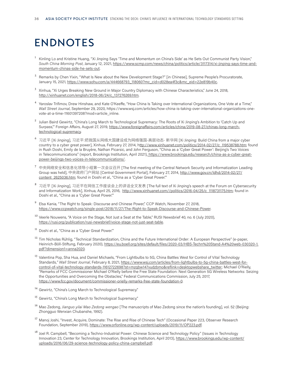## ENDNOTES

- $1$  Kinling Lo and Kristine Huang, "Xi Jinping Says 'Time and Momentum on China's Side' as He Sets Out Communist Party Vision," *South China Morning Post*, January 12, 2021, https://www.scmp.com/news/china/politics/article/3117314/xi-jinping-says-time-andmomentum-chinas-side-he-sets-out.
- <sup>2</sup> Remarks by Chen Yixin, "What Is New about the New Development Stage?" [in Chinese], Supreme People's Procuratorate, January 15, 2021, https://www.sohu.com/a/444668793\_118060?mc\_cid=d028ea4f3c&mc\_eid=22e819b40c.
- <sup>3</sup> Xinhua, "Xi Urges Breaking New Ground in Major Country Diplomacy with Chinese Characteristics," June 24, 2018, http://xinhuanet.com/english/2018-06/24/c\_137276269.htm.
- <sup>4</sup> Yaroslav Trifimov, Drew Hinshaw, and Kate O'Keeffe, "How China Is Taking over International Organizations, One Vote at a Time," *Wall Street Journal*, September 29, 2020, https://www.wsj.com/articles/how-china-is-taking-over-international-organizations-onevote-at-a-time-11601397208?mod=article\_inline.
- <sup>5</sup> Julian Baird Gewirtz, "China's Long March to Technological Supremacy: The Roots of Xi Jinping's Ambition to 'Catch Up and Surpass,'" Foreign Affairs, August 27, 2019, https://www.foreignaffairs.com/articles/china/2019-08-27/chinas-long-marchtechnological-supremacy.
- <sup>6</sup> 习近平 [Xi Jinping], 习近平:把我国从网络大国建设成为网络强国-高层动态- 新华网 [Xi Jinping: Build China from a major cyber country to a cyber great power], Xinhua, February 27, 2014, http://www.xinhuanet.com/politics/2014-02/27/c\_119538788.htm; found in Rush Doshi, Emily de la Bruyère, Nathan Picarsic, and John Ferguson, "China as a 'Cyber Great Power': Beijing's Two Voices in Telecommunications" (report, Brookings Institution, April 2021), https://www.brookings.edu/research/china-as-a-cyber-greatpower-beijings-two-voices-in-telecommunications/.
- 7 中央网络安全和信息化领导小组第一次会议召开 [The first meeting of the Central Network Security and Informatization Leading Group was held], 中央政府门户网站 [Central Government Portal], February 27, 2014, http://www.gov.cn/ldhd/2014-02/27/ content\_2625036.htm; found in Doshi et al., "China as a 'Cyber Great Power."
- <sup>8</sup> 习近平 [Xi Jinping], 习近平在网信工作座谈会上的讲话全文发表 [The full text of Xi Jinping's speech at the Forum on Cybersecurity and Informatization Work], Xinhua, April 25, 2016, http://www.xinhuanet.com//politics/2016-04/25/c\_1118731175.htm; found in Doshi et al., "China as a 'Cyber Great Power.'"
- <sup>9</sup> Elsa Kania, "The Right to Speak: Discourse and Chinese Power," CCP Watch, November 27, 2018, https://www.ccpwatch.org/single-post/2018/11/27/The-Right-to-Speak-Discourse-and-Chinese-Power.
- <sup>10</sup> Veerle Nouwens, "A Voice on the Stage, Not Just a Seat at the Table," RUSI Newsbrief 40, no. 6 (July 2020), https://rusi.org/publication/rusi-newsbrief/voice-stage-not-just-seat-table.
- <sup>11</sup> Doshi et al., "China as a 'Cyber Great Power."
- <sup>12</sup> Tim Nicholas Rühlig, "Technical Standardization, China and the Future International Order: A European Perspective" (e-paper, Heinrich-Böll-Stiftung, February 2020), https://eu.boell.org/sites/default/files/2020-03/HBS-Techn%20Stand-A4%20web-030320-1. pdf?dimension1=anna2020.
- <sup>13</sup> Valentina Pop, Sha Hua, and Daniel Michaels, "From Lightbulbs to 5G, China Battles West for Control of Vital Technology Standards,*" Wall Street Journal*, February 8, 2021, https://www.wsj.com/articles/from-lightbulbs-to-5g-china-battles-west-forcontrol-of-vital-technology-standards-11612722698?st=mzqbw147vudzbmo&reflink=desktopwebshare\_twitter; Michael O'Rielly, "Remarks of FCC Commissioner Michael O'Rielly before the Free State Foundation: Next Generation 5G Wireless Networks: Seizing the Opportunities and Overcoming the Obstacles," Federal Communications Commission, July 25, 2017, https://www.fcc.gov/document/commissioner-orielly-remarks-free-state-foundation-0.
- <sup>14</sup> Gewirtz, "China's Long March to Technological Supremacy."
- <sup>15</sup> Gewirtz, "China's Long March to Technological Supremacy."
- <sup>16</sup> Mao Zedong, *Jianguo yilai Mao Zedong wengao* [The manuscripts of Mao Zedong since the nation's founding], vol. 52 (Beijing: Zhongguo Wenxian Chubanshe, 1992).
- <sup>17</sup> Manoj Joshi, "Invest, Acquire, Dominate: The Rise and Rise of Chinese Tech" (Occasional Paper 223, Observer Research Foundation, September 2019), https://www.orfonline.org/wp-content/uploads/2019/11/OP223.pdf.
- <sup>18</sup> Joel R. Campbell, "Becoming a Techno-Industrial Power: Chinese Science and Technology Policy" (Issues in Technology Innovation 23, Center for Technology Innovation, Brookings Institution, April 2013), https://www.brookings.edu/wp-content/ uploads/2016/06/29-science-technology-policy-china-campbell.pdf.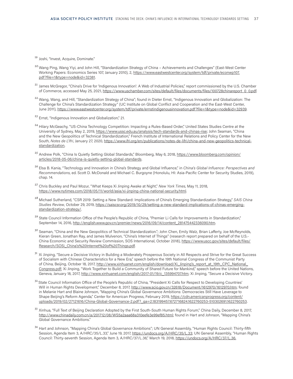<sup>19</sup> Joshi, "Invest, Acquire, Dominate."

- <sup>20</sup> Wang Ping, Wang Yiyi, and John Hill, "Standardization Strategy of China Achievements and Challenges" (East-West Center Working Papers: Economics Series 107, January 2010), 2, https://www.eastwestcenter.org/system/tdf/private/econwp107. pdf?file=1&type=node&id=32381.
- <sup>21</sup> James McGregor, "China's Drive for 'Indigenous Innovation': A Web of Industrial Policies," report commissioned by the U.S. Chamber of Commerce, accessed May 25, 2021, https://www.uschamber.com/sites/default/files/documents/files/100728chinareport\_0\_0.pdf.
- <sup>22</sup> Wang, Wang, and Hill, "Standardization Strategy of China"; found in Dieter Ernst, "Indigenous Innovation and Globalization: The Challenge for China's Standardization Strategy" (UC Institute on Global Conflict and Cooperation and the East-West Center, June 2011), https://www.eastwestcenter.org/system/tdf/private/ernstindigenousinnovation.pdf?file=1&type=node&id=32939.
- $23$  Ernst, "Indigenous Innovation and Globalization," 21.
- <sup>24</sup> Hilary McGeachy, "US-China Technology Competition: Impacting a Rules-Based Order," United States Studies Centre at the University of Sydney, May 2, 2019, https://www.ussc.edu.au/analysis/tech-standards-and-chinas-rise; John Seaman, "China and the New Geopolitics of Technical Standardization," French Institute of International Relations and Policy Center for the New South, *Notes de L'Ifri*, January 27, 2020, https://www.ifri.org/en/publications/notes-de-lifri/china-and-new-geopolitics-technicalstandardization.
- <sup>25</sup> Andrew Polk, "China Is Quietly Setting Global Standards," Bloomberg, May 6, 2018, https://www.bloomberg.com/opinion/ articles/2018-05-06/china-is-quietly-setting-global-standards.
- <sup>26</sup> Elsa B. Kania, "Technology and Innovation in China's Strategy and Global Influence," in *China's Global Influence: Perspectives and Recommendations*, ed. Scott D. McDonald and Michael C. Burgoyne (Honolulu, HI: Asia-Pacific Center for Security Studies, 2019), chap. 14.
- <sup>27</sup> Chris Buckley and Paul Mozur, "What Keeps Xi Jinping Awake at Night," *New York Times*, May 11, 2018, https://www.nytimes.com/2018/05/11/world/asia/xi-jinping-china-national-security.html.
- <sup>28</sup> Michael Sutherland, "CSR 2019: Setting a New Standard: Implications of China's Emerging Standardization Strategy," *SAIS China Studies Review*, October 29, 2019, https://saiscsr.org/2019/10/29/setting-a-new-standard-implications-of-chinas-emergingstandardization-strategy/.
- <sup>29</sup> State Council Information Office of the People's Republic of China, "Premier Li Calls for Improvements in Standardization," September 14, 2016, http://english.www.gov.cn/premier/news/2016/09/14/content\_281475442336090.htm.
- <sup>30</sup> Seaman, "China and the New Geopolitics of Technical Standardization."; John Chen, Emily Walz, Brian Lafferty, Joe McReynolds, Kieran Green, Jonathan Ray, and James Mulvenon, "China's Internet of Things" (research report prepared on behalf of the U.S.- China Economic and Security Review Commission, SOS International, October 2018), https://www.uscc.gov/sites/default/files/ Research/SOSi\_China's%20Internet%20of%20Things.pdf.
- <sup>31</sup> Xi Jinping, "Secure a Decisive Victory in Building a Moderately Prosperous Society in All Respects and Strive for the Great Success of Socialism with Chinese Characteristics for a New Era," speech before the 19th National Congress of the Communist Party of China, Beijing, October 18, 2017, http://www.xinhuanet.com/english/download/Xi\_Jinping's\_report\_at\_19th\_CPC\_National\_ Congress.pdf; Xi Jinping, "Work Together to Build a Community of Shared Future for Mankind," speech before the United Nations, Geneva, January 18, 2017, http://www.xinhuanet.com/english/2017-01/19/c\_135994707.htm; Xi Jinping, "Secure a Decisive Victory.
- <sup>32</sup> State Council Information Office of the People's Republic of China, "President Xi Calls for Respect to Developing Countries' Will in Human Rights Development," December 8, 2017, http://www.scio.gov.cn/32618/Document/1612970/1612970.htm; found in Melanie Hart and Blaine Johnson, "Mapping China's Global Governance Ambitions: Democracies Still Have Leverage to Shape Beijing's Reform Agenda," Center for American Progress, February 2019, https://cdn.americanprogress.org/content/ uploads/2019/02/27121616/China-Global-Governance-2.pdf?\_ga=2.183199457.672716824.1622760253-510302691.1622760253.
- <sup>33</sup> Xinhua, "Full Text of Beijing Declaration Adopted by the First South-South Human Rights Forum," China Daily, December 8, 2017, http://www.chinadaily.com.cn/a/201712/08/WS5a2aaa68a310eefe3e99ef85.html; found in Hart and Johnson, "Mapping China's Global Governance Ambitions."
- <sup>34</sup> Hart and Johnson, "Mapping China's Global Governance Ambitions"; UN General Assembly, "Human Rights Council: Thirty-fifth Session, Agenda Item 3, A/HRC/35/L.33," June 19, 2017, https://undocs.org/A/HRC/35/L.33; UN General Assembly, "Human Rights Council: Thirty-seventh Session, Agenda Item 3, A/HRC/37/L.36," March 19, 2018, https://undocs.org/A/HRC/37/L.36.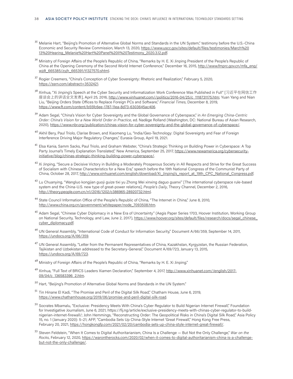- <sup>35</sup> Melanie Hart, "Beijing's Promotion of Alternative Global Norms and Standards in the UN System," testimony before the U.S.-China Economic and Security Review Commission, March 13, 2020, https://www.uscc.gov/sites/default/files/testimonies/March%20 13%20Hearing\_Melanie%20Hart%20Panel%20II%20Testimony\_2020.3.12.pdf.
- <sup>36</sup> Ministry of Foreign Affairs of the People's Republic of China, "Remarks by H. E. Xi Jinping President of the People's Republic of China at the Opening Ceremony of the Second World Internet Conference," December 16, 2015, http://www.fmprc.gov.cn/mfa\_eng/ wjdt\_665385/zyjh\_665391/t1327570.shtml.
- <sup>37</sup> Rogier Creemers, "China's Conception of Cyber Sovereignty: Rhetoric and Realization," February 5, 2020, https://ssrn.com/abstract=3532421.
- <sup>38</sup> Xinhua, "Xi Jinping's Speech at the Cyber Security and Informatization Work Conference Was Published in Full" [习近平在网信工作 座谈会上的讲话全文发表], April 25, 2016, http://www.xinhuanet.com//politics/2016-04/25/c\_1118731175.htm; Yuan Yang and Nian Liu, "Beijing Orders State Offices to Replace Foreign PCs and Software," *Financial Times*, December 8, 2019, https://www.ft.com/content/b55fc6ee-1787-11ea-8d73-6303645ac406.
- <sup>39</sup> Adam Segal, "China's Vision for Cyber Sovereignty and the Global Governance of Cyberspace," in *An Emerging China-Centric Order: China's Vision for a New World Order in Practice*, ed. Nadège Rolland (Washington, DC: National Bureau of Asian Research, 2020), https://www.nbr.org/publication/chinas-vision-for-cyber-sovereignty-and-the-global-governance-of-cyberspace/.
- <sup>40</sup> Akhil Bery, Paul Triolo, Clarise Brown, and Xiaomeng Lu, "India/Geo-Technology: Digital Sovereignty and Fear of Foreign Interference Driving Major Regulatory Changes," Eurasia Group, April 19, 2021.
- <sup>41</sup> Elsa Kania, Samm Sacks, Paul Triolo, and Graham Webster, "China's Strategic Thinking on Building Power in Cyberspace: A Top Party Journal's Timely Explanation Translated," New America, September 25, 2017, https://www.newamerica.org/cybersecurityinitiative/blog/chinas-strategic-thinking-building-power-cyberspace/.
- <sup>42</sup> Xi Jinping, "Secure a Decisive Victory in Building a Moderately Prosperous Society in All Respects and Strive for the Great Success of Socialism with Chinese Characteristics for a New Era," speech before the 19th National Congress of the Communist Party of China, October 28, 2017, http://www.xinhuanet.com/english/download/Xi\_Jinping's\_report\_at\_19th\_CPC\_National\_Congress.pdf.
- <sup>43</sup> Lu Chuanying, "Wangluo kongjian guoji guize tixi yu Zhong Mei xinxing daguo guanxi" [The international cyberspace rule-based system and the China-U.S. new type of great-power relations], *People's Daily*, Theory Channel, December 2, 2016, http://theory.people.com.cn/n1/2016/1202/c386965-28920732.html.
- <sup>44</sup> State Council Information Office of the People's Republic of China, "The Internet in China," June 8, 2010, http://www.china.org.cn/government/whitepaper/node\_7093508.htm.
- <sup>45</sup> Adam Segal, "Chinese Cyber Diplomacy in a New Era of Uncertainty" (Aegis Paper Series 1703, Hoover Institution, Working Group on National Security, Technology, and Law, June 2, 2017), https://www.hoover.org/sites/default/files/research/docs/segal\_chinese\_ cyber\_diplomacy.pdf.
- <sup>46</sup> UN General Assembly, "International Code of Conduct for Information Security," Document A/66/359, September 14, 2011, https://undocs.org/A/66/359.
- <sup>47</sup> UN General Assembly, "Letter from the Permanent Representatives of China, Kazakhstan, Kyrgyzstan, the Russian Federation, Tajikistan and Uzbekistan addressed to the Secretary-General," Document A/69/723, January 13, 2015, https://undocs.org/A/69/723.
- <sup>48</sup> Ministry of Foreign Affairs of the People's Republic of China, "Remarks by H. E. Xi Jinping."
- <sup>49</sup> Xinhua, "Full Text of BRICS Leaders Xiamen Declaration," September 4, 2017, http://www.xinhuanet.com//english/2017- 09/04/c\_136583396\_2.htm.
- <sup>50</sup> Hart. "Beijing's Promotion of Alternative Global Norms and Standards in the UN System."
- <sup>51</sup> Tin Hinane El Kadi, "The Promise and Peril of the Digital Silk Road," Chatham House, June 6, 2019, https://www.chathamhouse.org/2019/06/promise-and-peril-digital-silk-road.
- 52 Socrates Mbamalu, "Exclusive: Presidency Meets With China's Cyber Regulator to Build Nigerian Internet Firewall," Foundation for Investigative Journalism, June 6, 2021, https://fij.ng/article/exclusive-presidency-meets-with-chinas-cyber-regulator-to-buildnigerian-internet-firewall/; John Hemmings, "Reconstructing Order: The Geopolitical Risks in China's Digital Silk Road," Asia Policy 15, no. 1 (January 2020): 5–21; AFP, "Cambodia Sets Up China-Style Internet 'Great Firewall," Hong Kong Free Press, February 20, 2021, https://hongkongfp.com/2021/02/20/cambodia-sets-up-china-style-internet-great-firewall/.
- <sup>53</sup> Steven Feldstein, "When It Comes to Digital Authoritarianism, China Is a Challenge But Not the Only Challenge," *War on the Rocks*, February 12, 2020, https://warontherocks.com/2020/02/when-it-comes-to-digital-authoritarianism-china-is-a-challengebut-not-the-only-challenge/.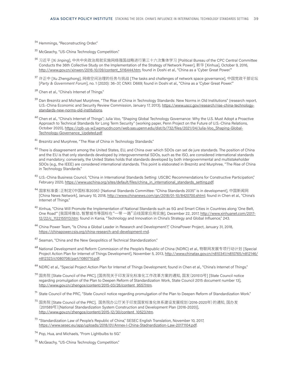<sup>54</sup> Hemmings, "Reconstructing Order."

<sup>55</sup> McGeachy, "US-China Technology Competition."

- <sup>56</sup> 习近平 [Xi Jinping], 中共中央政治局就实施网络强国战略进行第三十六次集体学习 [Political Bureau of the CPC Central Committee Conducts the 36th Collective Study on the Implementation of the Strategy of Network Power], 新华 [Xinhua], October 9, 2016, http://www.gov.cn/xinwen/2016-10/09/content\_5116444.htm; found in Doshi et al., "China as a 'Cyber Great Power."
- $^{57}$  许正中 [Xu Zhengzhong], 网络空间治理的任务与挑战 [The tasks and challenges of network space governance], 中国党政干部论坛 [*Party & Government Forum*], no. 1 (2020): 36–37, CNKI: D669; found in Doshi et al., "China as a 'Cyber Great Power.'"
- <sup>58</sup> Chen et al., "China's Internet of Things."
- 59 Dan Breznitz and Michael Murphree, "The Rise of China in Technology Standards: New Norms in Old Institutions" (research report, U.S.-China Economic and Security Review Commission, January 17, 2013), https://www.uscc.gov/research/rise-china-technologystandards-new-norms-old-institutions.
- <sup>60</sup> Chen et al., "China's Internet of Things"; Julia Voo, "Shaping Global Technology Governance: Why the U.S. Must Adopt a Proactive Approach to Technical Standards for Long Term Security" (working paper, Penn Project on the Future of U.S.-China Relations, October 2020), https://cpb-us-w2.wpmucdn.com/web.sas.upenn.edu/dist/b/732/files/2021/04/Julia-Voo\_Shaping-Global-Technology-Governance\_Updated.pdf
- <sup>61</sup> Breznitz and Murphree, "The Rise of China in Technology Standards."
- <sup>62</sup> There is disagreement among the United States, EU, and China over which SDOs can set de jure standards. The position of China and the EU is that only standards developed by intergovernmental SDOs, such as the ISO, are considered international standards and mandatory; conversely, the United States holds that standards developed by both intergovernmental and multistakeholder SDOs (e.g., the IEEE) are considered international standards. This point is elaborated in Breznitz and Murphree, "The Rise of China in Technology Standards."
- <sup>63</sup> U.S.-China Business Council, "China in International Standards Setting: USCBC Recommendations for Constructive Participation," February 2020, https://www.uschina.org/sites/default/files/china\_in\_international\_standards\_setting.pdf.
- <sup>64</sup> 国家标准委:正制定《中国标准2035》 [National Standards Committee: "China Standards 2035" is in development], 中国新闻网 [China News Network], January 10, 2018, http://www.chinanews.com/gn/2018/01-10/8420700.shtml; found in Chen et al., "China's Internet of Things."
- <sup>65</sup> Xinhua, "China Will Promote the Implementation of National Standards such as 5G and Smart Cities in Countries along 'One Belt, One Road'" [我国将推动、智慧城市等国标在"一带 一路"沿线国家应用实施], December 22, 2017, http://www.xinhuanet.com/2017- 12/22/c\_1122155113.htm; found in Kania, "Technology and Innovation in China's Strategy and Global Influence," 243.
- <sup>66</sup> China Power Team, "Is China a Global Leader in Research and Development?," ChinaPower Project, January 31, 2018, https://chinapower.csis.org/china-research-and-development-rnd.
- <sup>67</sup> Seaman, "China and the New Geopolitics of Technical Standardization."
- <sup>68</sup> National Development and Reform Commission of the People's Republic of China (NDRC) et al., 物联网发展专项行动计划 [Special Project Action Plan for Internet of Things Development], November 5, 2013, http://www.chinatax.gov.cn/n810341/n810765/n812146/ n812323/c1080708/part/1080710.pdf.
- <sup>69</sup> NDRC et al., "Special Project Action Plan for Internet of Things Development; found in Chen et al., "China's Internet of Things."
- <sup>70</sup> 国务院 [State Council of the PRC], [国务院关于印发深化标准化工作改革方案的通知, 国发〔201513号] [State Council notice regarding promulgation of the Plan to Deepen Reform of Standardization Work, State Council 2015 document number 13], http://www.gov.cn/zhengce/content/2015-03/26/content\_9557.htm.
- $71$  State Council of the PRC, "State Council notice regarding promulgation of the Plan to Deepen Reform of Standardization Work."
- <sup>72</sup> 国务院 [State Council of the PRC], 国务院办公厅关于印发国家标准化体系建设发展规划(2016-2020年)的通知, 国办发 〔201589号〕[National Standardization System Construction and Development Plan (2016-2020)], http://www.gov.cn/zhengce/content/2015-12/30/content\_10523.htm.
- <sup>73</sup> "Standardization Law of People's Republic of China," SESEC English Translation, November 10, 2017, https://www.sesec.eu/app/uploads/2018/01/Annex-I-China-Stadnardization-Law-20171104.pdf.
- <sup>74</sup> Pop, Hua, and Michaels, "From Lightbulbs to 5G."
- <sup>75</sup> McGeachy, "US-China Technology Competition."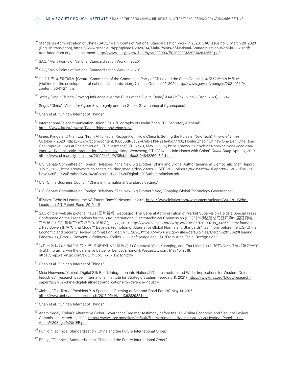- <sup>76</sup> Standards Administration of China (SAC), "Main Points of National Standardisation Work in 2020," SAC Issue no. 8, March 20, 2020 (English translation), https://www.sesec.eu/app/uploads/2020/04/Main-Points-of-National-Standardisation-Work-in-2020.pdf; translated from original document: http://www.sac.gov.cn/sbgs/sytz/202003/P020200313308102642552.pdf.
- <sup>77</sup> SAC, "Main Points of National Standardisation Work in 2020."
- <sup>78</sup> SAC, "Main Points of National Standardisation Work in 2020."
- <sup>79</sup> 中共中央 国务院印发 [Central Committee of the Communist Party of China and the State Council], 国家标准化发展纲要 [Outline for the development of national standardization], Xinhua, October 10, 2021, http://www.gov.cn/zhengce/2021-10/10/ content\_5641727.htm.
- <sup>80</sup> Jeffrey Ding, "China's Growing Influence over the Rules of the Digital Road," *Asia Policy* 16, no. 2 (April 2021): 33–42.
- <sup>81</sup> Segal, "China's Vision for Cyber Sovereignty and the Global Governance of Cyberspace."
- 82 Chen et al., "China's Internet of Things."
- 83 International Telecommunication Union (ITU), "Biography of Houlin Zhao, ITU Secretary-General," https://www.itu.int/en/osg/Pages/biography-zhao.aspx.
- <sup>84</sup>James Kynge and Nian Liu, "From AI to Facial Recognition: How China Is Setting the Rules in New Tech," *Financial Times*, October 7, 2020, https://www.ft.com/content/188d86df-6e82-47eb-a134-2e1e45c777b6; Houlin Zhao, "China's One Belt, One Road Can Improve Lives at Scale through ICT Investment," ITU News, May 16, 2017, https://news.itu.int/chinas-one-belt-one-road-canimprove-lives-at-scale-through-ict-investment/; Kong Wenzheng, "ITU Vows to Join Hands with China," *China Daily*, April 24, 2019, http://www.chinadaily.com.cn/a/201904/24/WS5cbfbb1aa3104842260b7f2f.html.
- 85 U.S. Senate Committee on Foreign Relations, "The New Big Brother: China and Digital Authoritarianism," Democratic Staff Report, July 21, 2020, https://www.foreign.senate.gov/imo/media/doc/2020%20SFRC%20Minority%20Staff%20Report%20-%20The%20 New%20Big%20Brother%20-%20China%20and%20Digital%20Authoritarianism.pdf.
- <sup>86</sup> U.S.-China Business Council, "China in International Standards Setting."
- 87 U.S. Senate Committee on Foreign Relations, "The New Big Brother"; Voo, "Shaping Global Technology Governance."
- 88 IPlytics, "Who Is Leading the 5G Patent Race?," November 2019, https://www.iplytics.com/wpcontent/uploads/2019/01/Who-Leads-the-5G-Patent-Race\_2019.pdf.
- <sup>89</sup> SAC official website pictorial news [图片新闻] webpage: "The General Administration of Market Supervision Holds a Special Press Conference on the Preparations for the 83rd International Electrotechnical Commission (IEC)" [市场监管总局召开第83届国 际电 工委员会(IEC)筹备工作专题新闻发布会], July 8, 2019, http://www.sac.gov.cn/xw/tpxw/201907/t20190708\_343652.htm; found in J. Ray Bowen II, "A 'China Model'? Beijing's Promotion of Alternative Global Norms and Standards," testimony before the U.S.-China Economic and Security Review Commission, March 13, 2020, https://www.uscc.gov/sites/default/files/March%2013%20Hearing\_ Panel%203\_Ray%20Bowen%20Pointe%20Bello%20v2.pdf; Kynge and Liu, "From AI to Facial Recognition."
- <sup>90</sup> 我们一致认为,中国企业应团结,不能被外人所挑拨。[Liu Chuanzhi, Yang Yuanqing, and Zhu Linan], 行动起来,誓死打赢联想荣誉保 卫战! [To arms, win the defensive battle for Lenovo's honor!], Weixin.QQ.com, May 16, 2018, https://mp.weixin.qq.com/s/JDlmQbGFkxu-\_D2jsqNz3w.
- <sup>91</sup> Chen et al., "China's Internet of Things."
- 92 Meia Nouwens, "China's Digital Silk Road: Integration into National IT Infrastructure and Wider Implications for Western Defence Industries" (research paper, International Institute for Strategic Studies, February 11, 2021), https://www.iiss.org/blogs/researchpaper/2021/02/china-digital-silk-road-implications-for-defence-industry.
- <sup>93</sup> Xinhua, "Full Text of President Xi's Speech at Opening of Belt and Road Forum," May 14, 2017, http://www.xinhuanet.com/english/2017-05/14/c\_136282982.htm.
- 94 Chen et al., "China's Internet of Things."
- <sup>95</sup> Adam Segal, "China's Alternative Cyber Governance Regime," testimony before the U.S.-China Economic and Security Review Commission, March 13, 2020, https://www.uscc.gov/sites/default/files/testimonies/March%2013%20Hearing\_Panel%203\_ Adam%20Segal%20CFR.pdf.
- 96 Rühlig, "Technical Standardization, China and the Future International Order."
- 97 Rühlig, "Technical Standardization, China and the Future International Order."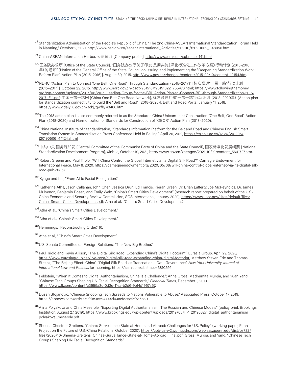<sup>98</sup> Standardization Administration of the People's Republic of China, "The 2nd China-ASEAN International Standardization Forum Held in Nanning," October 9, 2021, http://www.sac.gov.cn/sacen/International\_Activities/202110/t20211009\_348056.htm.

99 China-ASEAN Information Harbor, 公司简介 [Company profile], http://www.caih.com/subpage\_141.html.

- <sup>100</sup>国务院办公厅 [Office of the State Council], "国务院办公厅关于印发 贯彻实施《深化标准化工作改革方案》行动计划(2015-2016 年)的通知" [Notice of the General Office of the State Council on issuing and implementing the "Deepening Standardization Work Reform Plan" Action Plan (2015–2016)], August 30, 2015, http://www.gov.cn/zhengce/content/2015-09/10/content\_10154.htm.
- <sup>101</sup>NDRC, "Action Plan to Connect 'One Belt, One Road' Through Standardization (2015–2017)" [标准联通"一带一路"行动计划 (2015–2017)], October 22, 2015, http://www.ndrc.gov.cn/gzdt/201510/t20151022\_755473.html; https://www.followingthemoney. org/wp-content/uploads/2017/06/2015\_Leading-Group-for-the-BRI\_Action-Plan-to-Connect-BRI-through-Standardization-2015- 2017\_E-1.pdf; 中国一带一路网 [China One Belt One Road Network], 标准联通共建"一带一路"行动计划(2018–2020年) [Action plan for standardization connectivity to build the "Belt and Road" (2018–2020)], Belt and Road Portal, January 11, 2018, https://www.yidaiyilu.gov.cn/zchj/qwfb/43480.htm.

<sup>102</sup>The 2018 action plan is also commonly referred to as the Standards China Unicom Joint Construction "One Belt, One Road" Action Plan (2018–2020) and Harmonization of Standards for Construction of "OBOR" Action Plan (2018–2020).

- <sup>103</sup>China National Institute of Standardization, "Standards Information Platform for the Belt and Road and Chinese English Smart Translation System in Standardization Press Conference Held in Beijing," April 26, 2019, https://en.cnis.ac.cn/zdxw/201905/ t20190506\_44124.shtml.
- <sup>104</sup>中共中央 国务院印发 [Central Committee of the Communist Party of China and the State Council], 国家标准化发展纲要 [National Standardization Development Program], Xinhua, October 10, 2021, http://www.gov.cn/zhengce/2021-10/10/content\_5641727.htm.
- <sup>105</sup> Robert Greene and Paul Triolo, "Will China Control the Global Internet via Its Digital Silk Road?," Carnegie Endowment for International Peace, May 8, 2020, https://carnegieendowment.org/2020/05/08/will-china-control-global-internet-via-its-digital-silkroad-pub-81857.

106 Kynge and Liu, "From AI to Facial Recognition."

- <sup>107</sup> Katherine Atha, Jason Callahan, John Chen, Jessica Drun, Ed Francis, Kieran Green, Dr. Brian Lafferty, Joe McReynolds, Dr. James Mulvenon, Benjamin Rosen, and Emily Walz, "China's Smart Cities Development" (research report prepared on behalf of the U.S.- China Economic and Security Review Commission, SOS International, January 2020), https://www.uscc.gov/sites/default/files/ China\_Smart\_Cities\_Development.pdf; Atha et al., "China's Smart Cities Development."
- <sup>108</sup>Atha et al., "China's Smart Cities Development."
- <sup>109</sup>Atha et al., "China's Smart Cities Development."
- 110 Hemmings, "Reconstructing Order," 10.
- <sup>111</sup> Atha et al., "China's Smart Cities Development."

112 U.S. Senate Committee on Foreign Relations, "The New Big Brother."

113 Paul Triolo and Kevin Allison, "The Digital Silk Road: Expanding China's Digital Footprint," Eurasia Group, April 29, 2020, https://www.eurasiagroup.net/live-post/digital-silk-road-expanding-china-digital-footprint; Matthew Steven Erie and Thomas Streinz, "The Beijing Effect: China's 'Digital Silk Road' as Transnational Data Governance," *New York University Journal of International Law and Politics*, forthcoming, https://ssrn.com/abstract=3810256.

<sup>114</sup> Feldstein, "When It Comes to Digital Authoritarianism, China Is a Challenge"; Anna Gross, Madhumita Murgia, and Yuan Yang, "Chinese Tech Groups Shaping UN Facial Recognition Standards," *Financial Times*, December 1, 2019, https://www.ft.com/content/c3555a3c-0d3e-11ea-b2d6-9bf4d1957a67.

- <sup>115</sup> Dusan Stojanovic, "Chinese Snooping Tech Spreads to Nations Vulnerable to Abuse," Associated Press, October 17, 2019, https://apnews.com/article/9fd1c38594444d44acfe25ef5f7d6ba0.
- <sup>116</sup> Alina Polyakova and Chris Meserole, "Exporting Digital Authoritarianism: The Russian and Chinese Models" (policy brief, Brookings Institution, August 27, 2019), https://www.brookings.edu/wp-content/uploads/2019/08/FP\_20190827\_digital\_authoritarianism\_ polyakova\_meserole.pdf.
- 117 Sheena Chestnut Greitens, "China's Surveillance State at Home and Abroad: Challenges for U.S. Policy" (working paper, Penn Project on the Future of U.S.-China Relations, October 2020), https://cpb-us-w2.wpmucdn.com/web.sas.upenn.edu/dist/b/732/ files/2020/10/Sheena-Greitens\_Chinas-Surveillance-State-at-Home-Abroad\_Final.pdf; Gross, Murgia, and Yang, "Chinese Tech Groups Shaping UN Facial Recognition Standards."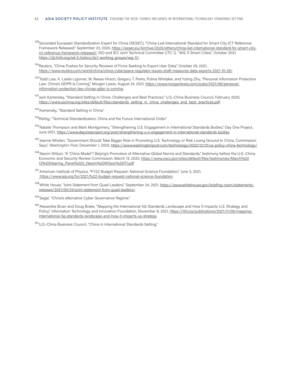- 118 Seconded European Standardization Expert for China (SESEC), "China-Led International Standard for Smart City ICT Reference Framework Released," September 23, 2020, https://sesec.eu/Archive/2020/others/china-led-international-standard-for-smart-cityict-reference-framework-released/; ISO and IEC Joint Technical Committee (JTC 1), "WG 11 Smart Cities," October 2021, https://jtc1info.org/sd-2-history/jtc1-working-groups/wg-11/.
- <sup>119</sup> Reuters, "China Pushes for Security Reviews of Firms Seeking to Export User Data," October 29, 2021, https://www.reuters.com/world/china/china-cyberspace-regulator-issues-draft-measures-data-exports-2021-10-29/.
- 120Todd Liao, K. Leslie Ligorner, W. Reese Hirsch, Gregory T. Parks, Pulina Whitaker, and Yuting Zhu, "Personal Information Protection Law: China's GDPR Is Coming," Morgan Lewis, August 24, 2021, https://www.morganlewis.com/pubs/2021/08/personalinformation-protection-law-chinas-gdpr-is-coming.
- 121 Jack Kamensky, "Standard Setting in China: Challenges and Best Practices," U.S.-China Business Council, February 2020, https://www.uschina.org/sites/default/files/standards\_setting\_in\_china\_challenges\_and\_best\_practices.pdf.

122 Kamensky, "Standard Setting in China."

- 123 Rühlig, "Technical Standardization, China and the Future International Order."
- <sup>124</sup> Natalie Thompson and Mark Montgomery, "Strengthening U.S. Engagement in International Standards Bodies," Day One Project, June 2021, https://www.dayoneproject.org/post/strengthening-u-s-engagement-in-international-standards-bodies.
- 125 Jeanne Whalen, "Government Should Take Bigger Role in Promoting U.S. Technology or Risk Losing Ground to China, Commission Says," *Washington Post*, December 1, 2020, https://www.washingtonpost.com/technology/2020/12/01/us-policy-china-technology/.
- 126 Naomi Wilson, "A 'China Model'? Beijing's Promotion of Alternative Global Norms and Standards," testimony before the U.S.-China Economic and Security Review Commission, March 13, 2020, https://www.uscc.gov/sites/default/files/testimonies/March%20 13%20Hearing\_Panel%203\_Naomi%20Wilson%20ITI.pdf
- <sup>127</sup> American Institute of Physics, "FY22 Budget Request: National Science Foundation," June 3, 2021, https://www.aip.org/fyi/2021/fy22-budget-request-national-science-foundation.
- 128White House, "Joint Statement from Quad Leaders," September 24, 2021, https://www.whitehouse.gov/briefing-room/statementsreleases/2021/09/24/joint-statement-from-quad-leaders/.
- 129 Segal, "China's alternative Cyber Governance Regime."
- <sup>130</sup> Alexandra Bruer and Doug Brake, "Mapping the International 5G Standards Landscape and How It Impacts U.S. Strategy and Policy," Information Technology and Innovation Foundation, November 8, 2021, https://itif.org/publications/2021/11/08/mappinginternational-5g-standards-landscape-and-how-it-impacts-us-strategy.
- <sup>131</sup> U.S.-China Business Council, "China in International Standards Setting."